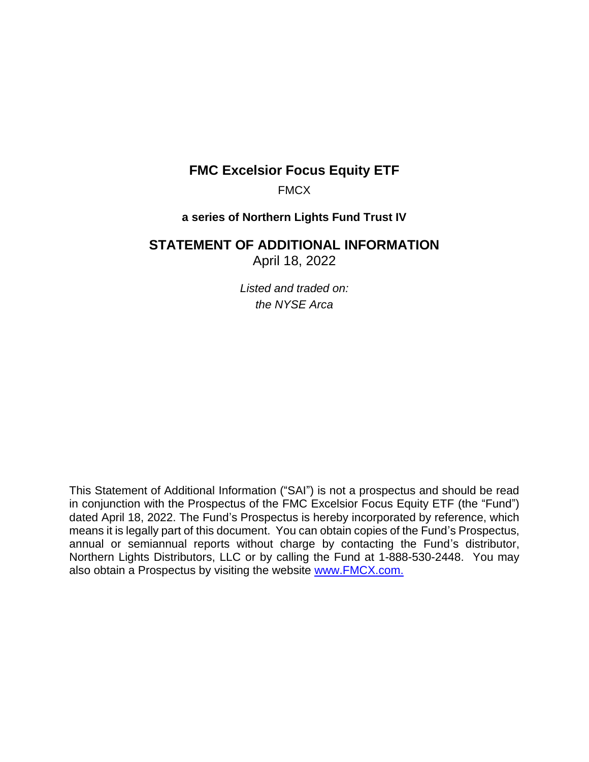# **FMC Excelsior Focus Equity ETF**

FMCX

## **a series of Northern Lights Fund Trust IV**

# **STATEMENT OF ADDITIONAL INFORMATION**

April 18, 2022

*Listed and traded on: the NYSE Arca*

This Statement of Additional Information ("SAI") is not a prospectus and should be read in conjunction with the Prospectus of the FMC Excelsior Focus Equity ETF (the "Fund") dated April 18, 2022. The Fund's Prospectus is hereby incorporated by reference, which means it is legally part of this document. You can obtain copies of the Fund's Prospectus, annual or semiannual reports without charge by contacting the Fund's distributor, Northern Lights Distributors, LLC or by calling the Fund at 1-888-530-2448. You may also obtain a Prospectus by visiting the website [www.FMCX.com.](http://www.fmcx.com/)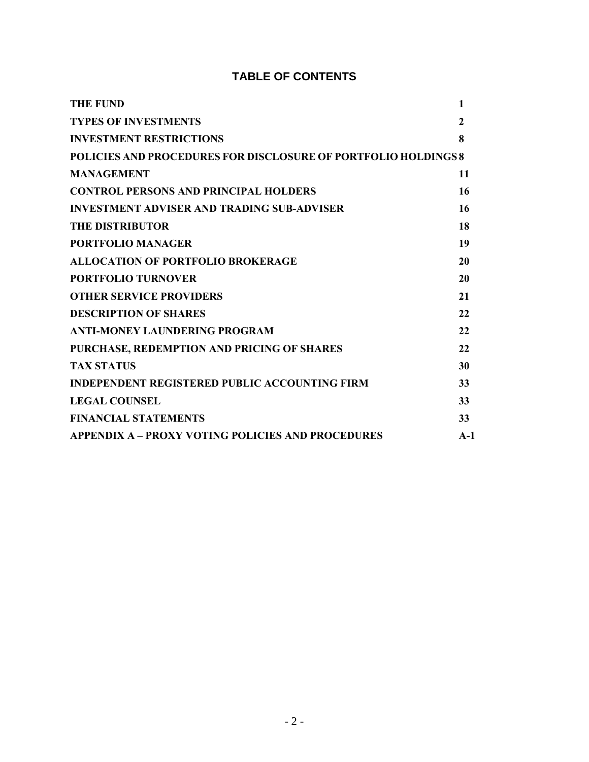# **TABLE OF CONTENTS**

| <b>THE FUND</b>                                                | 1     |
|----------------------------------------------------------------|-------|
| <b>TYPES OF INVESTMENTS</b>                                    | 2     |
| <b>INVESTMENT RESTRICTIONS</b>                                 | 8     |
| POLICIES AND PROCEDURES FOR DISCLOSURE OF PORTFOLIO HOLDINGS 8 |       |
| <b>MANAGEMENT</b>                                              | 11    |
| <b>CONTROL PERSONS AND PRINCIPAL HOLDERS</b>                   | 16    |
| <b>INVESTMENT ADVISER AND TRADING SUB-ADVISER</b>              | 16    |
| <b>THE DISTRIBUTOR</b>                                         | 18    |
| <b>PORTFOLIO MANAGER</b>                                       | 19    |
| <b>ALLOCATION OF PORTFOLIO BROKERAGE</b>                       | 20    |
| <b>PORTFOLIO TURNOVER</b>                                      | 20    |
| <b>OTHER SERVICE PROVIDERS</b>                                 | 21    |
| <b>DESCRIPTION OF SHARES</b>                                   | 22    |
| <b>ANTI-MONEY LAUNDERING PROGRAM</b>                           | 22    |
| PURCHASE, REDEMPTION AND PRICING OF SHARES                     | 22    |
| <b>TAX STATUS</b>                                              | 30    |
| <b>INDEPENDENT REGISTERED PUBLIC ACCOUNTING FIRM</b>           | 33    |
| <b>LEGAL COUNSEL</b>                                           | 33    |
| <b>FINANCIAL STATEMENTS</b>                                    | 33    |
| <b>APPENDIX A – PROXY VOTING POLICIES AND PROCEDURES</b>       | $A-1$ |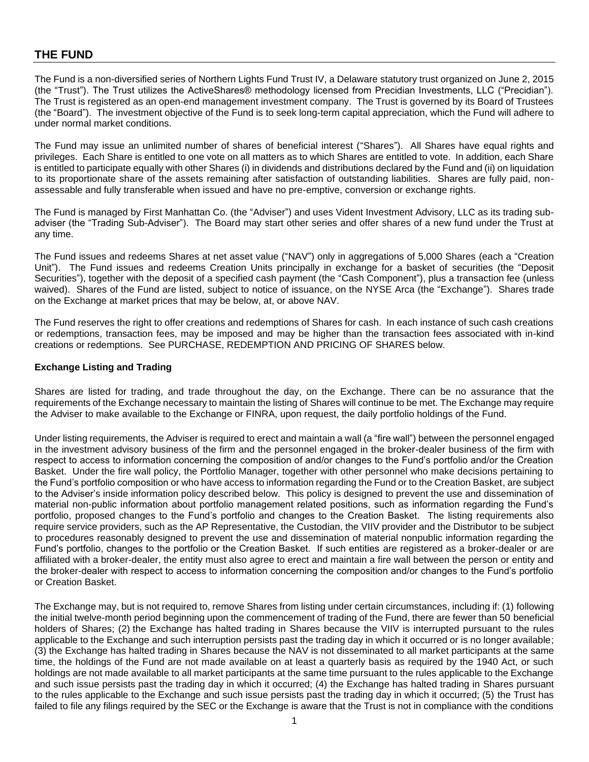## **THE FUND**

The Fund is a non-diversified series of Northern Lights Fund Trust IV, a Delaware statutory trust organized on June 2, 2015 (the "Trust"). The Trust utilizes the ActiveShares® methodology licensed from Precidian Investments, LLC ("Precidian"). The Trust is registered as an open-end management investment company. The Trust is governed by its Board of Trustees (the "Board"). The investment objective of the Fund is to seek long-term capital appreciation, which the Fund will adhere to under normal market conditions.

The Fund may issue an unlimited number of shares of beneficial interest ("Shares"). All Shares have equal rights and privileges. Each Share is entitled to one vote on all matters as to which Shares are entitled to vote. In addition, each Share is entitled to participate equally with other Shares (i) in dividends and distributions declared by the Fund and (ii) on liquidation to its proportionate share of the assets remaining after satisfaction of outstanding liabilities. Shares are fully paid, nonassessable and fully transferable when issued and have no pre-emptive, conversion or exchange rights.

The Fund is managed by First Manhattan Co. (the "Adviser") and uses Vident Investment Advisory, LLC as its trading subadviser (the "Trading Sub-Adviser"). The Board may start other series and offer shares of a new fund under the Trust at any time.

The Fund issues and redeems Shares at net asset value ("NAV") only in aggregations of 5,000 Shares (each a "Creation Unit"). The Fund issues and redeems Creation Units principally in exchange for a basket of securities (the "Deposit Securities"), together with the deposit of a specified cash payment (the "Cash Component"), plus a transaction fee (unless waived). Shares of the Fund are listed, subject to notice of issuance, on the NYSE Arca (the "Exchange"). Shares trade on the Exchange at market prices that may be below, at, or above NAV.

The Fund reserves the right to offer creations and redemptions of Shares for cash. In each instance of such cash creations or redemptions, transaction fees, may be imposed and may be higher than the transaction fees associated with in-kind creations or redemptions. See PURCHASE, REDEMPTION AND PRICING OF SHARES below.

### **Exchange Listing and Trading**

Shares are listed for trading, and trade throughout the day, on the Exchange. There can be no assurance that the requirements of the Exchange necessary to maintain the listing of Shares will continue to be met. The Exchange may require the Adviser to make available to the Exchange or FINRA, upon request, the daily portfolio holdings of the Fund.

Under listing requirements, the Adviser is required to erect and maintain a wall (a "fire wall") between the personnel engaged in the investment advisory business of the firm and the personnel engaged in the broker-dealer business of the firm with respect to access to information concerning the composition of and/or changes to the Fund's portfolio and/or the Creation Basket. Under the fire wall policy, the Portfolio Manager, together with other personnel who make decisions pertaining to the Fund's portfolio composition or who have access to information regarding the Fund or to the Creation Basket, are subject to the Adviser's inside information policy described below. This policy is designed to prevent the use and dissemination of material non-public information about portfolio management related positions, such as information regarding the Fund's portfolio, proposed changes to the Fund's portfolio and changes to the Creation Basket. The listing requirements also require service providers, such as the AP Representative, the Custodian, the VIIV provider and the Distributor to be subject to procedures reasonably designed to prevent the use and dissemination of material nonpublic information regarding the Fund's portfolio, changes to the portfolio or the Creation Basket. If such entities are registered as a broker-dealer or are affiliated with a broker-dealer, the entity must also agree to erect and maintain a fire wall between the person or entity and the broker-dealer with respect to access to information concerning the composition and/or changes to the Fund's portfolio or Creation Basket.

The Exchange may, but is not required to, remove Shares from listing under certain circumstances, including if: (1) following the initial twelve-month period beginning upon the commencement of trading of the Fund, there are fewer than 50 beneficial holders of Shares; (2) the Exchange has halted trading in Shares because the VIIV is interrupted pursuant to the rules applicable to the Exchange and such interruption persists past the trading day in which it occurred or is no longer available; (3) the Exchange has halted trading in Shares because the NAV is not disseminated to all market participants at the same time, the holdings of the Fund are not made available on at least a quarterly basis as required by the 1940 Act, or such holdings are not made available to all market participants at the same time pursuant to the rules applicable to the Exchange and such issue persists past the trading day in which it occurred; (4) the Exchange has halted trading in Shares pursuant to the rules applicable to the Exchange and such issue persists past the trading day in which it occurred; (5) the Trust has failed to file any filings required by the SEC or the Exchange is aware that the Trust is not in compliance with the conditions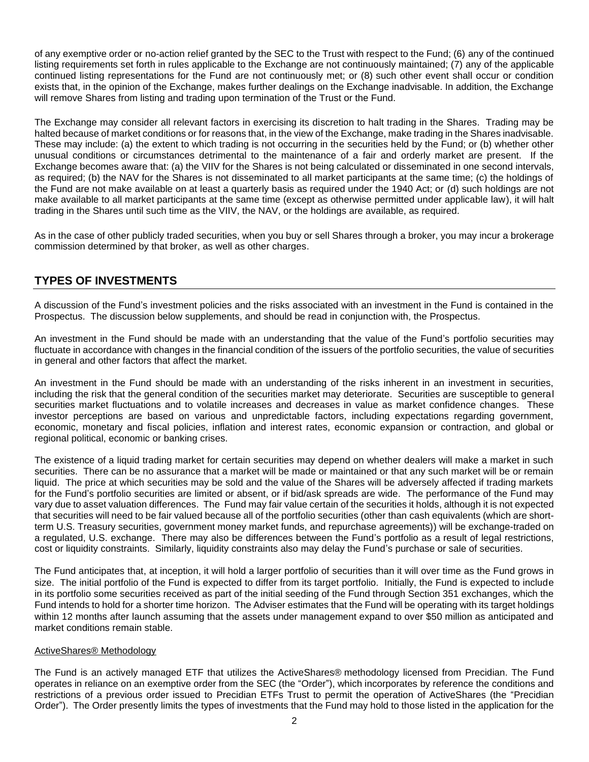of any exemptive order or no-action relief granted by the SEC to the Trust with respect to the Fund; (6) any of the continued listing requirements set forth in rules applicable to the Exchange are not continuously maintained; (7) any of the applicable continued listing representations for the Fund are not continuously met; or (8) such other event shall occur or condition exists that, in the opinion of the Exchange, makes further dealings on the Exchange inadvisable. In addition, the Exchange will remove Shares from listing and trading upon termination of the Trust or the Fund.

The Exchange may consider all relevant factors in exercising its discretion to halt trading in the Shares. Trading may be halted because of market conditions or for reasons that, in the view of the Exchange, make trading in the Shares inadvisable. These may include: (a) the extent to which trading is not occurring in the securities held by the Fund; or (b) whether other unusual conditions or circumstances detrimental to the maintenance of a fair and orderly market are present. If the Exchange becomes aware that: (a) the VIIV for the Shares is not being calculated or disseminated in one second intervals, as required; (b) the NAV for the Shares is not disseminated to all market participants at the same time; (c) the holdings of the Fund are not make available on at least a quarterly basis as required under the 1940 Act; or (d) such holdings are not make available to all market participants at the same time (except as otherwise permitted under applicable law), it will halt trading in the Shares until such time as the VIIV, the NAV, or the holdings are available, as required.

As in the case of other publicly traded securities, when you buy or sell Shares through a broker, you may incur a brokerage commission determined by that broker, as well as other charges.

## **TYPES OF INVESTMENTS**

A discussion of the Fund's investment policies and the risks associated with an investment in the Fund is contained in the Prospectus. The discussion below supplements, and should be read in conjunction with, the Prospectus.

An investment in the Fund should be made with an understanding that the value of the Fund's portfolio securities may fluctuate in accordance with changes in the financial condition of the issuers of the portfolio securities, the value of securities in general and other factors that affect the market.

An investment in the Fund should be made with an understanding of the risks inherent in an investment in securities, including the risk that the general condition of the securities market may deteriorate. Securities are susceptible to general securities market fluctuations and to volatile increases and decreases in value as market confidence changes. These investor perceptions are based on various and unpredictable factors, including expectations regarding government, economic, monetary and fiscal policies, inflation and interest rates, economic expansion or contraction, and global or regional political, economic or banking crises.

The existence of a liquid trading market for certain securities may depend on whether dealers will make a market in such securities. There can be no assurance that a market will be made or maintained or that any such market will be or remain liquid. The price at which securities may be sold and the value of the Shares will be adversely affected if trading markets for the Fund's portfolio securities are limited or absent, or if bid/ask spreads are wide. The performance of the Fund may vary due to asset valuation differences. The Fund may fair value certain of the securities it holds, although it is not expected that securities will need to be fair valued because all of the portfolio securities (other than cash equivalents (which are shortterm U.S. Treasury securities, government money market funds, and repurchase agreements)) will be exchange-traded on a regulated, U.S. exchange. There may also be differences between the Fund's portfolio as a result of legal restrictions, cost or liquidity constraints. Similarly, liquidity constraints also may delay the Fund's purchase or sale of securities.

The Fund anticipates that, at inception, it will hold a larger portfolio of securities than it will over time as the Fund grows in size. The initial portfolio of the Fund is expected to differ from its target portfolio. Initially, the Fund is expected to include in its portfolio some securities received as part of the initial seeding of the Fund through Section 351 exchanges, which the Fund intends to hold for a shorter time horizon. The Adviser estimates that the Fund will be operating with its target holdings within 12 months after launch assuming that the assets under management expand to over \$50 million as anticipated and market conditions remain stable.

## ActiveShares® Methodology

The Fund is an actively managed ETF that utilizes the ActiveShares® methodology licensed from Precidian. The Fund operates in reliance on an exemptive order from the SEC (the "Order"), which incorporates by reference the conditions and restrictions of a previous order issued to Precidian ETFs Trust to permit the operation of ActiveShares (the "Precidian Order"). The Order presently limits the types of investments that the Fund may hold to those listed in the application for the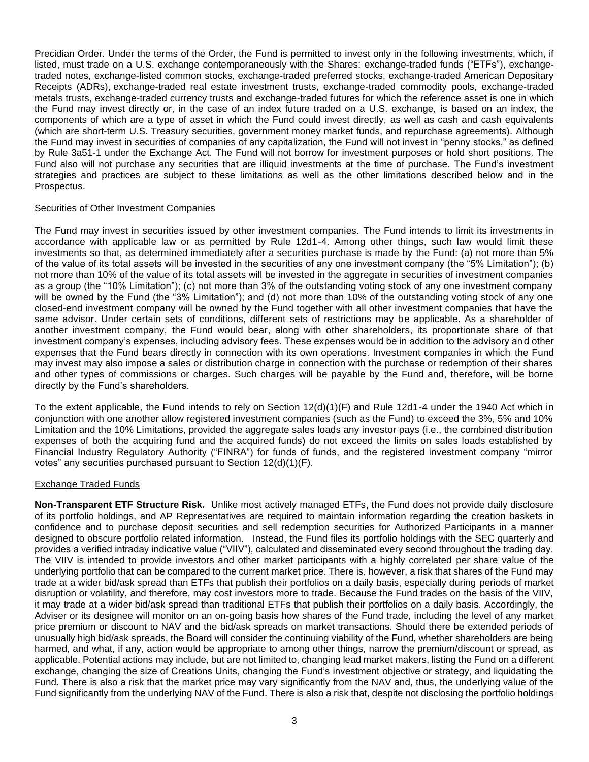Precidian Order. Under the terms of the Order, the Fund is permitted to invest only in the following investments, which, if listed, must trade on a U.S. exchange contemporaneously with the Shares: exchange-traded funds ("ETFs"), exchangetraded notes, exchange-listed common stocks, exchange-traded preferred stocks, exchange-traded American Depositary Receipts (ADRs), exchange-traded real estate investment trusts, exchange-traded commodity pools, exchange-traded metals trusts, exchange-traded currency trusts and exchange-traded futures for which the reference asset is one in which the Fund may invest directly or, in the case of an index future traded on a U.S. exchange, is based on an index, the components of which are a type of asset in which the Fund could invest directly, as well as cash and cash equivalents (which are short-term U.S. Treasury securities, government money market funds, and repurchase agreements). Although the Fund may invest in securities of companies of any capitalization, the Fund will not invest in "penny stocks," as defined by Rule 3a51-1 under the Exchange Act. The Fund will not borrow for investment purposes or hold short positions. The Fund also will not purchase any securities that are illiquid investments at the time of purchase. The Fund's investment strategies and practices are subject to these limitations as well as the other limitations described below and in the Prospectus.

### Securities of Other Investment Companies

The Fund may invest in securities issued by other investment companies. The Fund intends to limit its investments in accordance with applicable law or as permitted by Rule 12d1-4. Among other things, such law would limit these investments so that, as determined immediately after a securities purchase is made by the Fund: (a) not more than 5% of the value of its total assets will be invested in the securities of any one investment company (the "5% Limitation"); (b) not more than 10% of the value of its total assets will be invested in the aggregate in securities of investment companies as a group (the "10% Limitation"); (c) not more than 3% of the outstanding voting stock of any one investment company will be owned by the Fund (the "3% Limitation"); and (d) not more than 10% of the outstanding voting stock of any one closed-end investment company will be owned by the Fund together with all other investment companies that have the same advisor. Under certain sets of conditions, different sets of restrictions may be applicable. As a shareholder of another investment company, the Fund would bear, along with other shareholders, its proportionate share of that investment company's expenses, including advisory fees. These expenses would be in addition to the advisory and other expenses that the Fund bears directly in connection with its own operations. Investment companies in which the Fund may invest may also impose a sales or distribution charge in connection with the purchase or redemption of their shares and other types of commissions or charges. Such charges will be payable by the Fund and, therefore, will be borne directly by the Fund's shareholders.

To the extent applicable, the Fund intends to rely on Section 12(d)(1)(F) and Rule 12d1-4 under the 1940 Act which in conjunction with one another allow registered investment companies (such as the Fund) to exceed the 3%, 5% and 10% Limitation and the 10% Limitations, provided the aggregate sales loads any investor pays (i.e., the combined distribution expenses of both the acquiring fund and the acquired funds) do not exceed the limits on sales loads established by Financial Industry Regulatory Authority ("FINRA") for funds of funds, and the registered investment company "mirror votes" any securities purchased pursuant to Section 12(d)(1)(F).

#### Exchange Traded Funds

**Non-Transparent ETF Structure Risk.** Unlike most actively managed ETFs, the Fund does not provide daily disclosure of its portfolio holdings, and AP Representatives are required to maintain information regarding the creation baskets in confidence and to purchase deposit securities and sell redemption securities for Authorized Participants in a manner designed to obscure portfolio related information. Instead, the Fund files its portfolio holdings with the SEC quarterly and provides a verified intraday indicative value ("VIIV"), calculated and disseminated every second throughout the trading day. The VIIV is intended to provide investors and other market participants with a highly correlated per share value of the underlying portfolio that can be compared to the current market price. There is, however, a risk that shares of the Fund may trade at a wider bid/ask spread than ETFs that publish their portfolios on a daily basis, especially during periods of market disruption or volatility, and therefore, may cost investors more to trade. Because the Fund trades on the basis of the VIIV, it may trade at a wider bid/ask spread than traditional ETFs that publish their portfolios on a daily basis. Accordingly, the Adviser or its designee will monitor on an on-going basis how shares of the Fund trade, including the level of any market price premium or discount to NAV and the bid/ask spreads on market transactions. Should there be extended periods of unusually high bid/ask spreads, the Board will consider the continuing viability of the Fund, whether shareholders are being harmed, and what, if any, action would be appropriate to among other things, narrow the premium/discount or spread, as applicable. Potential actions may include, but are not limited to, changing lead market makers, listing the Fund on a different exchange, changing the size of Creations Units, changing the Fund's investment objective or strategy, and liquidating the Fund. There is also a risk that the market price may vary significantly from the NAV and, thus, the underlying value of the Fund significantly from the underlying NAV of the Fund. There is also a risk that, despite not disclosing the portfolio holdings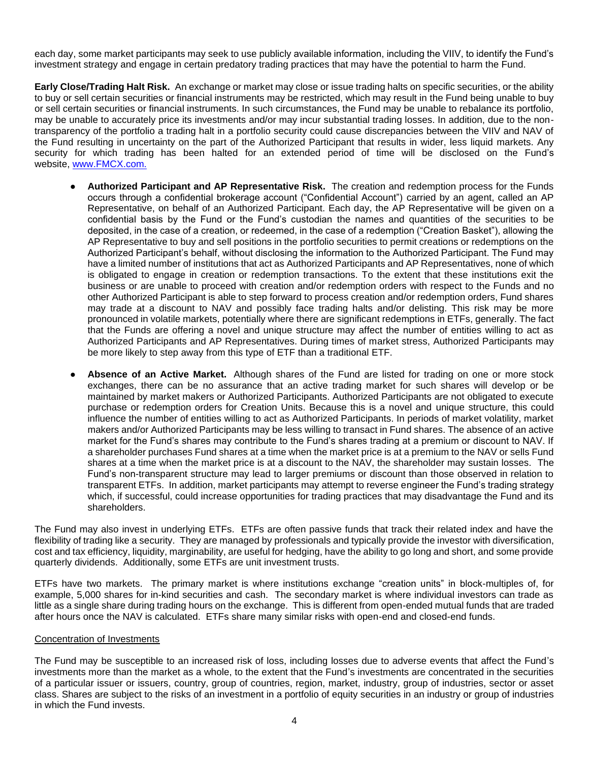each day, some market participants may seek to use publicly available information, including the VIIV, to identify the Fund's investment strategy and engage in certain predatory trading practices that may have the potential to harm the Fund.

**Early Close/Trading Halt Risk.** An exchange or market may close or issue trading halts on specific securities, or the ability to buy or sell certain securities or financial instruments may be restricted, which may result in the Fund being unable to buy or sell certain securities or financial instruments. In such circumstances, the Fund may be unable to rebalance its portfolio, may be unable to accurately price its investments and/or may incur substantial trading losses. In addition, due to the nontransparency of the portfolio a trading halt in a portfolio security could cause discrepancies between the VIIV and NAV of the Fund resulting in uncertainty on the part of the Authorized Participant that results in wider, less liquid markets. Any security for which trading has been halted for an extended period of time will be disclosed on the Fund's website, [www.FMCX.com.](http://www.fmcx.com/)

- **Authorized Participant and AP Representative Risk.** The creation and redemption process for the Funds occurs through a confidential brokerage account ("Confidential Account") carried by an agent, called an AP Representative, on behalf of an Authorized Participant. Each day, the AP Representative will be given on a confidential basis by the Fund or the Fund's custodian the names and quantities of the securities to be deposited, in the case of a creation, or redeemed, in the case of a redemption ("Creation Basket"), allowing the AP Representative to buy and sell positions in the portfolio securities to permit creations or redemptions on the Authorized Participant's behalf, without disclosing the information to the Authorized Participant. The Fund may have a limited number of institutions that act as Authorized Participants and AP Representatives, none of which is obligated to engage in creation or redemption transactions. To the extent that these institutions exit the business or are unable to proceed with creation and/or redemption orders with respect to the Funds and no other Authorized Participant is able to step forward to process creation and/or redemption orders, Fund shares may trade at a discount to NAV and possibly face trading halts and/or delisting. This risk may be more pronounced in volatile markets, potentially where there are significant redemptions in ETFs, generally. The fact that the Funds are offering a novel and unique structure may affect the number of entities willing to act as Authorized Participants and AP Representatives. During times of market stress, Authorized Participants may be more likely to step away from this type of ETF than a traditional ETF.
- Absence of an Active Market. Although shares of the Fund are listed for trading on one or more stock exchanges, there can be no assurance that an active trading market for such shares will develop or be maintained by market makers or Authorized Participants. Authorized Participants are not obligated to execute purchase or redemption orders for Creation Units. Because this is a novel and unique structure, this could influence the number of entities willing to act as Authorized Participants. In periods of market volatility, market makers and/or Authorized Participants may be less willing to transact in Fund shares. The absence of an active market for the Fund's shares may contribute to the Fund's shares trading at a premium or discount to NAV. If a shareholder purchases Fund shares at a time when the market price is at a premium to the NAV or sells Fund shares at a time when the market price is at a discount to the NAV, the shareholder may sustain losses. The Fund's non-transparent structure may lead to larger premiums or discount than those observed in relation to transparent ETFs. In addition, market participants may attempt to reverse engineer the Fund's trading strategy which, if successful, could increase opportunities for trading practices that may disadvantage the Fund and its shareholders.

The Fund may also invest in underlying ETFs. ETFs are often passive funds that track their related index and have the flexibility of trading like a security. They are managed by professionals and typically provide the investor with diversification, cost and tax efficiency, liquidity, marginability, are useful for hedging, have the ability to go long and short, and some provide quarterly dividends. Additionally, some ETFs are unit investment trusts.

ETFs have two markets. The primary market is where institutions exchange "creation units" in block-multiples of, for example, 5,000 shares for in-kind securities and cash. The secondary market is where individual investors can trade as little as a single share during trading hours on the exchange. This is different from open-ended mutual funds that are traded after hours once the NAV is calculated. ETFs share many similar risks with open-end and closed-end funds.

#### Concentration of Investments

The Fund may be susceptible to an increased risk of loss, including losses due to adverse events that affect the Fund's investments more than the market as a whole, to the extent that the Fund's investments are concentrated in the securities of a particular issuer or issuers, country, group of countries, region, market, industry, group of industries, sector or asset class. Shares are subject to the risks of an investment in a portfolio of equity securities in an industry or group of industries in which the Fund invests.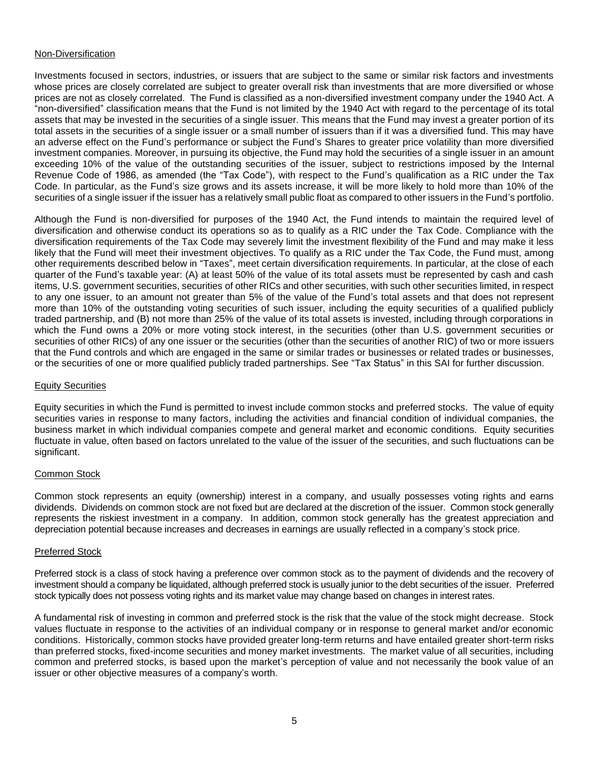#### Non-Diversification

Investments focused in sectors, industries, or issuers that are subject to the same or similar risk factors and investments whose prices are closely correlated are subject to greater overall risk than investments that are more diversified or whose prices are not as closely correlated. The Fund is classified as a non-diversified investment company under the 1940 Act. A "non-diversified" classification means that the Fund is not limited by the 1940 Act with regard to the percentage of its total assets that may be invested in the securities of a single issuer. This means that the Fund may invest a greater portion of its total assets in the securities of a single issuer or a small number of issuers than if it was a diversified fund. This may have an adverse effect on the Fund's performance or subject the Fund's Shares to greater price volatility than more diversified investment companies. Moreover, in pursuing its objective, the Fund may hold the securities of a single issuer in an amount exceeding 10% of the value of the outstanding securities of the issuer, subject to restrictions imposed by the Internal Revenue Code of 1986, as amended (the "Tax Code"), with respect to the Fund's qualification as a RIC under the Tax Code. In particular, as the Fund's size grows and its assets increase, it will be more likely to hold more than 10% of the securities of a single issuer if the issuer has a relatively small public float as compared to other issuers in the Fund's portfolio.

Although the Fund is non-diversified for purposes of the 1940 Act, the Fund intends to maintain the required level of diversification and otherwise conduct its operations so as to qualify as a RIC under the Tax Code. Compliance with the diversification requirements of the Tax Code may severely limit the investment flexibility of the Fund and may make it less likely that the Fund will meet their investment objectives. To qualify as a RIC under the Tax Code, the Fund must, among other requirements described below in "Taxes", meet certain diversification requirements. In particular, at the close of each quarter of the Fund's taxable year: (A) at least 50% of the value of its total assets must be represented by cash and cash items, U.S. government securities, securities of other RICs and other securities, with such other securities limited, in respect to any one issuer, to an amount not greater than 5% of the value of the Fund's total assets and that does not represent more than 10% of the outstanding voting securities of such issuer, including the equity securities of a qualified publicly traded partnership, and (B) not more than 25% of the value of its total assets is invested, including through corporations in which the Fund owns a 20% or more voting stock interest, in the securities (other than U.S. government securities or securities of other RICs) of any one issuer or the securities (other than the securities of another RIC) of two or more issuers that the Fund controls and which are engaged in the same or similar trades or businesses or related trades or businesses, or the securities of one or more qualified publicly traded partnerships. See "Tax Status" in this SAI for further discussion.

#### Equity Securities

Equity securities in which the Fund is permitted to invest include common stocks and preferred stocks. The value of equity securities varies in response to many factors, including the activities and financial condition of individual companies, the business market in which individual companies compete and general market and economic conditions. Equity securities fluctuate in value, often based on factors unrelated to the value of the issuer of the securities, and such fluctuations can be significant.

#### Common Stock

Common stock represents an equity (ownership) interest in a company, and usually possesses voting rights and earns dividends. Dividends on common stock are not fixed but are declared at the discretion of the issuer. Common stock generally represents the riskiest investment in a company. In addition, common stock generally has the greatest appreciation and depreciation potential because increases and decreases in earnings are usually reflected in a company's stock price.

#### Preferred Stock

Preferred stock is a class of stock having a preference over common stock as to the payment of dividends and the recovery of investment should a company be liquidated, although preferred stock is usually junior to the debt securities of the issuer. Preferred stock typically does not possess voting rights and its market value may change based on changes in interest rates.

A fundamental risk of investing in common and preferred stock is the risk that the value of the stock might decrease. Stock values fluctuate in response to the activities of an individual company or in response to general market and/or economic conditions. Historically, common stocks have provided greater long-term returns and have entailed greater short-term risks than preferred stocks, fixed-income securities and money market investments. The market value of all securities, including common and preferred stocks, is based upon the market's perception of value and not necessarily the book value of an issuer or other objective measures of a company's worth.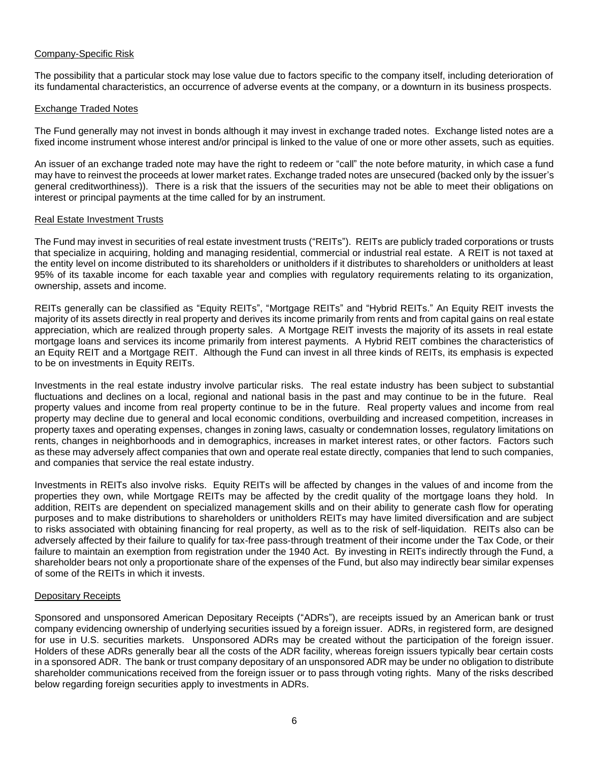### Company-Specific Risk

The possibility that a particular stock may lose value due to factors specific to the company itself, including deterioration of its fundamental characteristics, an occurrence of adverse events at the company, or a downturn in its business prospects.

### Exchange Traded Notes

The Fund generally may not invest in bonds although it may invest in exchange traded notes. Exchange listed notes are a fixed income instrument whose interest and/or principal is linked to the value of one or more other assets, such as equities.

An issuer of an exchange traded note may have the right to redeem or "call" the note before maturity, in which case a fund may have to reinvest the proceeds at lower market rates. Exchange traded notes are unsecured (backed only by the issuer's general creditworthiness)). There is a risk that the issuers of the securities may not be able to meet their obligations on interest or principal payments at the time called for by an instrument.

### Real Estate Investment Trusts

The Fund may invest in securities of real estate investment trusts ("REITs"). REITs are publicly traded corporations or trusts that specialize in acquiring, holding and managing residential, commercial or industrial real estate. A REIT is not taxed at the entity level on income distributed to its shareholders or unitholders if it distributes to shareholders or unitholders at least 95% of its taxable income for each taxable year and complies with regulatory requirements relating to its organization, ownership, assets and income.

REITs generally can be classified as "Equity REITs", "Mortgage REITs" and "Hybrid REITs." An Equity REIT invests the majority of its assets directly in real property and derives its income primarily from rents and from capital gains on real estate appreciation, which are realized through property sales. A Mortgage REIT invests the majority of its assets in real estate mortgage loans and services its income primarily from interest payments. A Hybrid REIT combines the characteristics of an Equity REIT and a Mortgage REIT. Although the Fund can invest in all three kinds of REITs, its emphasis is expected to be on investments in Equity REITs.

Investments in the real estate industry involve particular risks. The real estate industry has been subject to substantial fluctuations and declines on a local, regional and national basis in the past and may continue to be in the future. Real property values and income from real property continue to be in the future. Real property values and income from real property may decline due to general and local economic conditions, overbuilding and increased competition, increases in property taxes and operating expenses, changes in zoning laws, casualty or condemnation losses, regulatory limitations on rents, changes in neighborhoods and in demographics, increases in market interest rates, or other factors. Factors such as these may adversely affect companies that own and operate real estate directly, companies that lend to such companies, and companies that service the real estate industry.

Investments in REITs also involve risks. Equity REITs will be affected by changes in the values of and income from the properties they own, while Mortgage REITs may be affected by the credit quality of the mortgage loans they hold. In addition, REITs are dependent on specialized management skills and on their ability to generate cash flow for operating purposes and to make distributions to shareholders or unitholders REITs may have limited diversification and are subject to risks associated with obtaining financing for real property, as well as to the risk of self-liquidation. REITs also can be adversely affected by their failure to qualify for tax-free pass-through treatment of their income under the Tax Code, or their failure to maintain an exemption from registration under the 1940 Act. By investing in REITs indirectly through the Fund, a shareholder bears not only a proportionate share of the expenses of the Fund, but also may indirectly bear similar expenses of some of the REITs in which it invests.

#### Depositary Receipts

Sponsored and unsponsored American Depositary Receipts ("ADRs"), are receipts issued by an American bank or trust company evidencing ownership of underlying securities issued by a foreign issuer. ADRs, in registered form, are designed for use in U.S. securities markets. Unsponsored ADRs may be created without the participation of the foreign issuer. Holders of these ADRs generally bear all the costs of the ADR facility, whereas foreign issuers typically bear certain costs in a sponsored ADR. The bank or trust company depositary of an unsponsored ADR may be under no obligation to distribute shareholder communications received from the foreign issuer or to pass through voting rights. Many of the risks described below regarding foreign securities apply to investments in ADRs.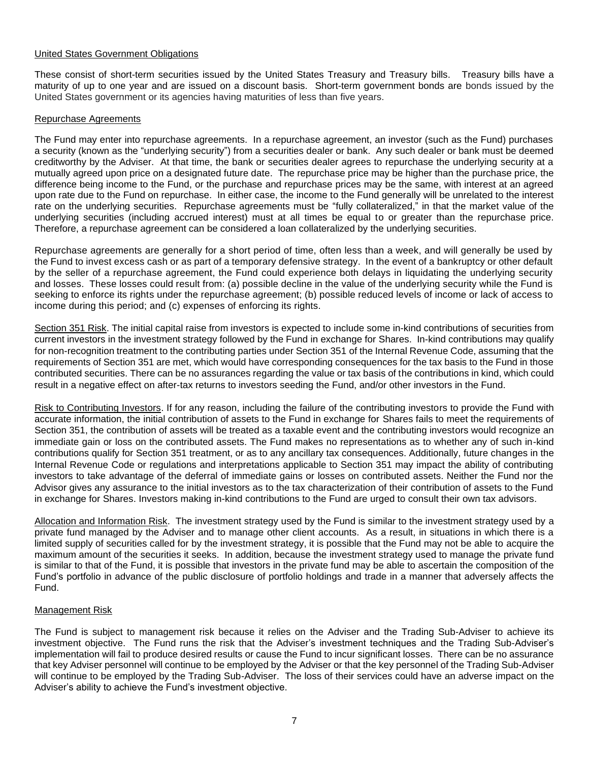### United States Government Obligations

These consist of short-term securities issued by the United States Treasury and Treasury bills. Treasury bills have a maturity of up to one year and are issued on a discount basis. Short-term government bonds are bonds issued by the United States government or its agencies having maturities of less than five years.

### Repurchase Agreements

The Fund may enter into repurchase agreements. In a repurchase agreement, an investor (such as the Fund) purchases a security (known as the "underlying security") from a securities dealer or bank. Any such dealer or bank must be deemed creditworthy by the Adviser. At that time, the bank or securities dealer agrees to repurchase the underlying security at a mutually agreed upon price on a designated future date. The repurchase price may be higher than the purchase price, the difference being income to the Fund, or the purchase and repurchase prices may be the same, with interest at an agreed upon rate due to the Fund on repurchase. In either case, the income to the Fund generally will be unrelated to the interest rate on the underlying securities. Repurchase agreements must be "fully collateralized," in that the market value of the underlying securities (including accrued interest) must at all times be equal to or greater than the repurchase price. Therefore, a repurchase agreement can be considered a loan collateralized by the underlying securities.

Repurchase agreements are generally for a short period of time, often less than a week, and will generally be used by the Fund to invest excess cash or as part of a temporary defensive strategy. In the event of a bankruptcy or other default by the seller of a repurchase agreement, the Fund could experience both delays in liquidating the underlying security and losses. These losses could result from: (a) possible decline in the value of the underlying security while the Fund is seeking to enforce its rights under the repurchase agreement; (b) possible reduced levels of income or lack of access to income during this period; and (c) expenses of enforcing its rights.

Section 351 Risk. The initial capital raise from investors is expected to include some in-kind contributions of securities from current investors in the investment strategy followed by the Fund in exchange for Shares. In-kind contributions may qualify for non-recognition treatment to the contributing parties under Section 351 of the Internal Revenue Code, assuming that the requirements of Section 351 are met, which would have corresponding consequences for the tax basis to the Fund in those contributed securities. There can be no assurances regarding the value or tax basis of the contributions in kind, which could result in a negative effect on after-tax returns to investors seeding the Fund, and/or other investors in the Fund.

Risk to Contributing Investors. If for any reason, including the failure of the contributing investors to provide the Fund with accurate information, the initial contribution of assets to the Fund in exchange for Shares fails to meet the requirements of Section 351, the contribution of assets will be treated as a taxable event and the contributing investors would recognize an immediate gain or loss on the contributed assets. The Fund makes no representations as to whether any of such in-kind contributions qualify for Section 351 treatment, or as to any ancillary tax consequences. Additionally, future changes in the Internal Revenue Code or regulations and interpretations applicable to Section 351 may impact the ability of contributing investors to take advantage of the deferral of immediate gains or losses on contributed assets. Neither the Fund nor the Advisor gives any assurance to the initial investors as to the tax characterization of their contribution of assets to the Fund in exchange for Shares. Investors making in-kind contributions to the Fund are urged to consult their own tax advisors.

Allocation and Information Risk. The investment strategy used by the Fund is similar to the investment strategy used by a private fund managed by the Adviser and to manage other client accounts. As a result, in situations in which there is a limited supply of securities called for by the investment strategy, it is possible that the Fund may not be able to acquire the maximum amount of the securities it seeks. In addition, because the investment strategy used to manage the private fund is similar to that of the Fund, it is possible that investors in the private fund may be able to ascertain the composition of the Fund's portfolio in advance of the public disclosure of portfolio holdings and trade in a manner that adversely affects the Fund.

#### Management Risk

The Fund is subject to management risk because it relies on the Adviser and the Trading Sub-Adviser to achieve its investment objective. The Fund runs the risk that the Adviser's investment techniques and the Trading Sub-Adviser's implementation will fail to produce desired results or cause the Fund to incur significant losses. There can be no assurance that key Adviser personnel will continue to be employed by the Adviser or that the key personnel of the Trading Sub-Adviser will continue to be employed by the Trading Sub-Adviser. The loss of their services could have an adverse impact on the Adviser's ability to achieve the Fund's investment objective.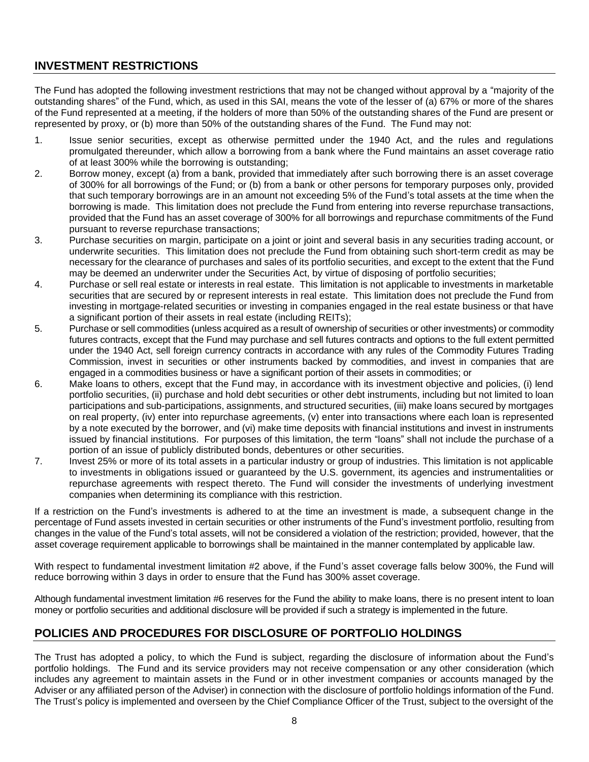## **INVESTMENT RESTRICTIONS**

The Fund has adopted the following investment restrictions that may not be changed without approval by a "majority of the outstanding shares" of the Fund, which, as used in this SAI, means the vote of the lesser of (a) 67% or more of the shares of the Fund represented at a meeting, if the holders of more than 50% of the outstanding shares of the Fund are present or represented by proxy, or (b) more than 50% of the outstanding shares of the Fund. The Fund may not:

- 1. Issue senior securities, except as otherwise permitted under the 1940 Act, and the rules and regulations promulgated thereunder, which allow a borrowing from a bank where the Fund maintains an asset coverage ratio of at least 300% while the borrowing is outstanding;
- 2. Borrow money, except (a) from a bank, provided that immediately after such borrowing there is an asset coverage of 300% for all borrowings of the Fund; or (b) from a bank or other persons for temporary purposes only, provided that such temporary borrowings are in an amount not exceeding 5% of the Fund's total assets at the time when the borrowing is made. This limitation does not preclude the Fund from entering into reverse repurchase transactions, provided that the Fund has an asset coverage of 300% for all borrowings and repurchase commitments of the Fund pursuant to reverse repurchase transactions;
- 3. Purchase securities on margin, participate on a joint or joint and several basis in any securities trading account, or underwrite securities. This limitation does not preclude the Fund from obtaining such short-term credit as may be necessary for the clearance of purchases and sales of its portfolio securities, and except to the extent that the Fund may be deemed an underwriter under the Securities Act, by virtue of disposing of portfolio securities;
- 4. Purchase or sell real estate or interests in real estate. This limitation is not applicable to investments in marketable securities that are secured by or represent interests in real estate. This limitation does not preclude the Fund from investing in mortgage-related securities or investing in companies engaged in the real estate business or that have a significant portion of their assets in real estate (including REITs);
- 5. Purchase or sell commodities (unless acquired as a result of ownership of securities or other investments) or commodity futures contracts, except that the Fund may purchase and sell futures contracts and options to the full extent permitted under the 1940 Act, sell foreign currency contracts in accordance with any rules of the Commodity Futures Trading Commission, invest in securities or other instruments backed by commodities, and invest in companies that are engaged in a commodities business or have a significant portion of their assets in commodities; or
- 6. Make loans to others, except that the Fund may, in accordance with its investment objective and policies, (i) lend portfolio securities, (ii) purchase and hold debt securities or other debt instruments, including but not limited to loan participations and sub-participations, assignments, and structured securities, (iii) make loans secured by mortgages on real property, (iv) enter into repurchase agreements, (v) enter into transactions where each loan is represented by a note executed by the borrower, and (vi) make time deposits with financial institutions and invest in instruments issued by financial institutions. For purposes of this limitation, the term "loans" shall not include the purchase of a portion of an issue of publicly distributed bonds, debentures or other securities.
- 7. Invest 25% or more of its total assets in a particular industry or group of industries. This limitation is not applicable to investments in obligations issued or guaranteed by the U.S. government, its agencies and instrumentalities or repurchase agreements with respect thereto. The Fund will consider the investments of underlying investment companies when determining its compliance with this restriction.

If a restriction on the Fund's investments is adhered to at the time an investment is made, a subsequent change in the percentage of Fund assets invested in certain securities or other instruments of the Fund's investment portfolio, resulting from changes in the value of the Fund's total assets, will not be considered a violation of the restriction; provided, however, that the asset coverage requirement applicable to borrowings shall be maintained in the manner contemplated by applicable law.

With respect to fundamental investment limitation #2 above, if the Fund's asset coverage falls below 300%, the Fund will reduce borrowing within 3 days in order to ensure that the Fund has 300% asset coverage.

Although fundamental investment limitation #6 reserves for the Fund the ability to make loans, there is no present intent to loan money or portfolio securities and additional disclosure will be provided if such a strategy is implemented in the future.

# **POLICIES AND PROCEDURES FOR DISCLOSURE OF PORTFOLIO HOLDINGS**

The Trust has adopted a policy, to which the Fund is subject, regarding the disclosure of information about the Fund's portfolio holdings. The Fund and its service providers may not receive compensation or any other consideration (which includes any agreement to maintain assets in the Fund or in other investment companies or accounts managed by the Adviser or any affiliated person of the Adviser) in connection with the disclosure of portfolio holdings information of the Fund. The Trust's policy is implemented and overseen by the Chief Compliance Officer of the Trust, subject to the oversight of the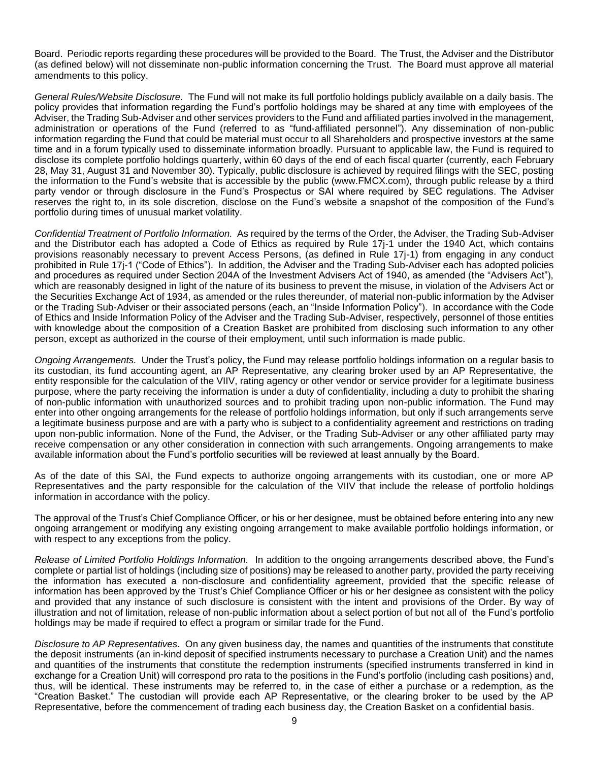Board. Periodic reports regarding these procedures will be provided to the Board. The Trust, the Adviser and the Distributor (as defined below) will not disseminate non-public information concerning the Trust. The Board must approve all material amendments to this policy.

*General Rules/Website Disclosure.* The Fund will not make its full portfolio holdings publicly available on a daily basis. The policy provides that information regarding the Fund's portfolio holdings may be shared at any time with employees of the Adviser, the Trading Sub-Adviser and other services providers to the Fund and affiliated parties involved in the management, administration or operations of the Fund (referred to as "fund-affiliated personnel"). Any dissemination of non-public information regarding the Fund that could be material must occur to all Shareholders and prospective investors at the same time and in a forum typically used to disseminate information broadly. Pursuant to applicable law, the Fund is required to disclose its complete portfolio holdings quarterly, within 60 days of the end of each fiscal quarter (currently, each February 28, May 31, August 31 and November 30). Typically, public disclosure is achieved by required filings with the SEC, posting the information to the Fund's website that is accessible by the public (www.FMCX.com), through public release by a third party vendor or through disclosure in the Fund's Prospectus or SAI where required by SEC regulations. The Adviser reserves the right to, in its sole discretion, disclose on the Fund's website a snapshot of the composition of the Fund's portfolio during times of unusual market volatility.

*Confidential Treatment of Portfolio Information.* As required by the terms of the Order, the Adviser, the Trading Sub-Adviser and the Distributor each has adopted a Code of Ethics as required by Rule 17j-1 under the 1940 Act, which contains provisions reasonably necessary to prevent Access Persons, (as defined in Rule 17j-1) from engaging in any conduct prohibited in Rule 17j-1 ("Code of Ethics"). In addition, the Adviser and the Trading Sub-Adviser each has adopted policies and procedures as required under Section 204A of the Investment Advisers Act of 1940, as amended (the "Advisers Act"), which are reasonably designed in light of the nature of its business to prevent the misuse, in violation of the Advisers Act or the Securities Exchange Act of 1934, as amended or the rules thereunder, of material non-public information by the Adviser or the Trading Sub-Adviser or their associated persons (each, an "Inside Information Policy"). In accordance with the Code of Ethics and Inside Information Policy of the Adviser and the Trading Sub-Adviser, respectively, personnel of those entities with knowledge about the composition of a Creation Basket are prohibited from disclosing such information to any other person, except as authorized in the course of their employment, until such information is made public.

*Ongoing Arrangements.* Under the Trust's policy, the Fund may release portfolio holdings information on a regular basis to its custodian, its fund accounting agent, an AP Representative, any clearing broker used by an AP Representative, the entity responsible for the calculation of the VIIV, rating agency or other vendor or service provider for a legitimate business purpose, where the party receiving the information is under a duty of confidentiality, including a duty to prohibit the sharing of non-public information with unauthorized sources and to prohibit trading upon non-public information. The Fund may enter into other ongoing arrangements for the release of portfolio holdings information, but only if such arrangements serve a legitimate business purpose and are with a party who is subject to a confidentiality agreement and restrictions on trading upon non-public information. None of the Fund, the Adviser, or the Trading Sub-Adviser or any other affiliated party may receive compensation or any other consideration in connection with such arrangements. Ongoing arrangements to make available information about the Fund's portfolio securities will be reviewed at least annually by the Board.

As of the date of this SAI, the Fund expects to authorize ongoing arrangements with its custodian, one or more AP Representatives and the party responsible for the calculation of the VIIV that include the release of portfolio holdings information in accordance with the policy.

The approval of the Trust's Chief Compliance Officer, or his or her designee, must be obtained before entering into any new ongoing arrangement or modifying any existing ongoing arrangement to make available portfolio holdings information, or with respect to any exceptions from the policy.

*Release of Limited Portfolio Holdings Information.* In addition to the ongoing arrangements described above, the Fund's complete or partial list of holdings (including size of positions) may be released to another party, provided the party receiving the information has executed a non-disclosure and confidentiality agreement, provided that the specific release of information has been approved by the Trust's Chief Compliance Officer or his or her designee as consistent with the policy and provided that any instance of such disclosure is consistent with the intent and provisions of the Order. By way of illustration and not of limitation, release of non-public information about a select portion of but not all of the Fund's portfolio holdings may be made if required to effect a program or similar trade for the Fund.

*Disclosure to AP Representatives.* On any given business day, the names and quantities of the instruments that constitute the deposit instruments (an in-kind deposit of specified instruments necessary to purchase a Creation Unit) and the names and quantities of the instruments that constitute the redemption instruments (specified instruments transferred in kind in exchange for a Creation Unit) will correspond pro rata to the positions in the Fund's portfolio (including cash positions) and, thus, will be identical. These instruments may be referred to, in the case of either a purchase or a redemption, as the "Creation Basket." The custodian will provide each AP Representative, or the clearing broker to be used by the AP Representative, before the commencement of trading each business day, the Creation Basket on a confidential basis.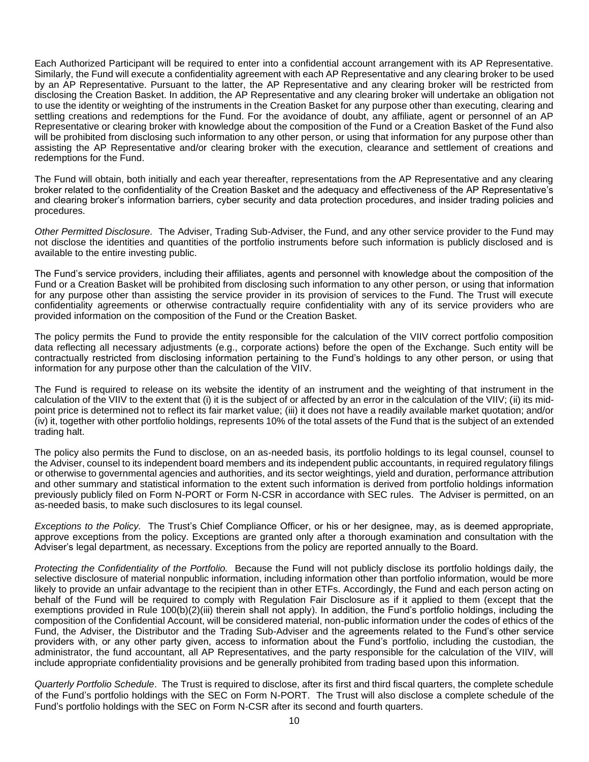Each Authorized Participant will be required to enter into a confidential account arrangement with its AP Representative. Similarly, the Fund will execute a confidentiality agreement with each AP Representative and any clearing broker to be used by an AP Representative. Pursuant to the latter, the AP Representative and any clearing broker will be restricted from disclosing the Creation Basket. In addition, the AP Representative and any clearing broker will undertake an obligation not to use the identity or weighting of the instruments in the Creation Basket for any purpose other than executing, clearing and settling creations and redemptions for the Fund. For the avoidance of doubt, any affiliate, agent or personnel of an AP Representative or clearing broker with knowledge about the composition of the Fund or a Creation Basket of the Fund also will be prohibited from disclosing such information to any other person, or using that information for any purpose other than assisting the AP Representative and/or clearing broker with the execution, clearance and settlement of creations and redemptions for the Fund.

The Fund will obtain, both initially and each year thereafter, representations from the AP Representative and any clearing broker related to the confidentiality of the Creation Basket and the adequacy and effectiveness of the AP Representative's and clearing broker's information barriers, cyber security and data protection procedures, and insider trading policies and procedures.

*Other Permitted Disclosure.* The Adviser, Trading Sub-Adviser, the Fund, and any other service provider to the Fund may not disclose the identities and quantities of the portfolio instruments before such information is publicly disclosed and is available to the entire investing public.

The Fund's service providers, including their affiliates, agents and personnel with knowledge about the composition of the Fund or a Creation Basket will be prohibited from disclosing such information to any other person, or using that information for any purpose other than assisting the service provider in its provision of services to the Fund. The Trust will execute confidentiality agreements or otherwise contractually require confidentiality with any of its service providers who are provided information on the composition of the Fund or the Creation Basket.

The policy permits the Fund to provide the entity responsible for the calculation of the VIIV correct portfolio composition data reflecting all necessary adjustments (e.g., corporate actions) before the open of the Exchange. Such entity will be contractually restricted from disclosing information pertaining to the Fund's holdings to any other person, or using that information for any purpose other than the calculation of the VIIV.

The Fund is required to release on its website the identity of an instrument and the weighting of that instrument in the calculation of the VIIV to the extent that (i) it is the subject of or affected by an error in the calculation of the VIIV; (ii) its midpoint price is determined not to reflect its fair market value; (iii) it does not have a readily available market quotation; and/or (iv) it, together with other portfolio holdings, represents 10% of the total assets of the Fund that is the subject of an extended trading halt.

The policy also permits the Fund to disclose, on an as-needed basis, its portfolio holdings to its legal counsel, counsel to the Adviser, counsel to its independent board members and its independent public accountants, in required regulatory filings or otherwise to governmental agencies and authorities, and its sector weightings, yield and duration, performance attribution and other summary and statistical information to the extent such information is derived from portfolio holdings information previously publicly filed on Form N-PORT or Form N-CSR in accordance with SEC rules. The Adviser is permitted, on an as-needed basis, to make such disclosures to its legal counsel.

*Exceptions to the Policy.* The Trust's Chief Compliance Officer, or his or her designee, may, as is deemed appropriate, approve exceptions from the policy. Exceptions are granted only after a thorough examination and consultation with the Adviser's legal department, as necessary. Exceptions from the policy are reported annually to the Board.

*Protecting the Confidentiality of the Portfolio.* Because the Fund will not publicly disclose its portfolio holdings daily, the selective disclosure of material nonpublic information, including information other than portfolio information, would be more likely to provide an unfair advantage to the recipient than in other ETFs. Accordingly, the Fund and each person acting on behalf of the Fund will be required to comply with Regulation Fair Disclosure as if it applied to them (except that the exemptions provided in Rule 100(b)(2)(iii) therein shall not apply). In addition, the Fund's portfolio holdings, including the composition of the Confidential Account, will be considered material, non-public information under the codes of ethics of the Fund, the Adviser, the Distributor and the Trading Sub-Adviser and the agreements related to the Fund's other service providers with, or any other party given, access to information about the Fund's portfolio, including the custodian, the administrator, the fund accountant, all AP Representatives, and the party responsible for the calculation of the VIIV, will include appropriate confidentiality provisions and be generally prohibited from trading based upon this information.

*Quarterly Portfolio Schedule*. The Trust is required to disclose, after its first and third fiscal quarters, the complete schedule of the Fund's portfolio holdings with the SEC on Form N-PORT. The Trust will also disclose a complete schedule of the Fund's portfolio holdings with the SEC on Form N-CSR after its second and fourth quarters.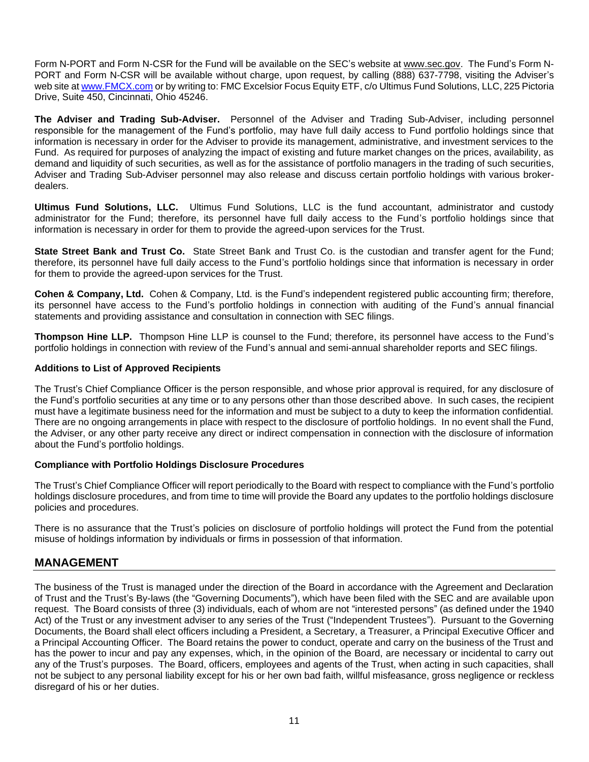Form N-PORT and Form N-CSR for the Fund will be available on the SEC's website at [www.sec.gov.](http://www.sec.gov/) The Fund's Form N-PORT and Form N-CSR will be available without charge, upon request, by calling (888) 637-7798, visiting the Adviser's web site at [www.FMCX.com](http://www.fmcx.com/) or by writing to: FMC Excelsior Focus Equity ETF, c/o Ultimus Fund Solutions, LLC, 225 Pictoria Drive, Suite 450, Cincinnati, Ohio 45246.

**The Adviser and Trading Sub-Adviser.** Personnel of the Adviser and Trading Sub-Adviser, including personnel responsible for the management of the Fund's portfolio, may have full daily access to Fund portfolio holdings since that information is necessary in order for the Adviser to provide its management, administrative, and investment services to the Fund. As required for purposes of analyzing the impact of existing and future market changes on the prices, availability, as demand and liquidity of such securities, as well as for the assistance of portfolio managers in the trading of such securities, Adviser and Trading Sub-Adviser personnel may also release and discuss certain portfolio holdings with various brokerdealers.

**Ultimus Fund Solutions, LLC.** Ultimus Fund Solutions, LLC is the fund accountant, administrator and custody administrator for the Fund; therefore, its personnel have full daily access to the Fund's portfolio holdings since that information is necessary in order for them to provide the agreed-upon services for the Trust.

**State Street Bank and Trust Co.** State Street Bank and Trust Co. is the custodian and transfer agent for the Fund; therefore, its personnel have full daily access to the Fund's portfolio holdings since that information is necessary in order for them to provide the agreed-upon services for the Trust.

**Cohen & Company, Ltd.** Cohen & Company, Ltd. is the Fund's independent registered public accounting firm; therefore, its personnel have access to the Fund's portfolio holdings in connection with auditing of the Fund's annual financial statements and providing assistance and consultation in connection with SEC filings.

**Thompson Hine LLP.** Thompson Hine LLP is counsel to the Fund; therefore, its personnel have access to the Fund's portfolio holdings in connection with review of the Fund's annual and semi-annual shareholder reports and SEC filings.

## **Additions to List of Approved Recipients**

The Trust's Chief Compliance Officer is the person responsible, and whose prior approval is required, for any disclosure of the Fund's portfolio securities at any time or to any persons other than those described above. In such cases, the recipient must have a legitimate business need for the information and must be subject to a duty to keep the information confidential. There are no ongoing arrangements in place with respect to the disclosure of portfolio holdings. In no event shall the Fund, the Adviser, or any other party receive any direct or indirect compensation in connection with the disclosure of information about the Fund's portfolio holdings.

#### **Compliance with Portfolio Holdings Disclosure Procedures**

The Trust's Chief Compliance Officer will report periodically to the Board with respect to compliance with the Fund's portfolio holdings disclosure procedures, and from time to time will provide the Board any updates to the portfolio holdings disclosure policies and procedures.

There is no assurance that the Trust's policies on disclosure of portfolio holdings will protect the Fund from the potential misuse of holdings information by individuals or firms in possession of that information.

## **MANAGEMENT**

The business of the Trust is managed under the direction of the Board in accordance with the Agreement and Declaration of Trust and the Trust's By-laws (the "Governing Documents"), which have been filed with the SEC and are available upon request. The Board consists of three (3) individuals, each of whom are not "interested persons" (as defined under the 1940 Act) of the Trust or any investment adviser to any series of the Trust ("Independent Trustees"). Pursuant to the Governing Documents, the Board shall elect officers including a President, a Secretary, a Treasurer, a Principal Executive Officer and a Principal Accounting Officer. The Board retains the power to conduct, operate and carry on the business of the Trust and has the power to incur and pay any expenses, which, in the opinion of the Board, are necessary or incidental to carry out any of the Trust's purposes. The Board, officers, employees and agents of the Trust, when acting in such capacities, shall not be subject to any personal liability except for his or her own bad faith, willful misfeasance, gross negligence or reckless disregard of his or her duties.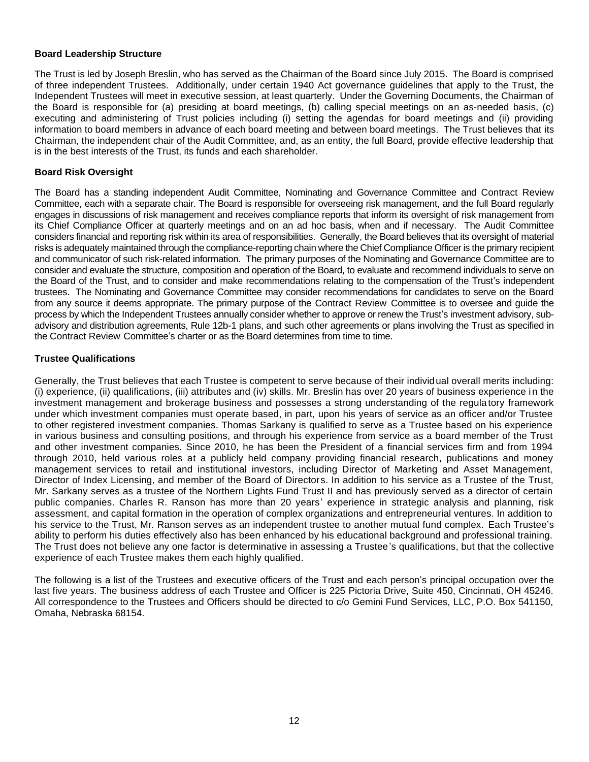### **Board Leadership Structure**

The Trust is led by Joseph Breslin, who has served as the Chairman of the Board since July 2015. The Board is comprised of three independent Trustees. Additionally, under certain 1940 Act governance guidelines that apply to the Trust, the Independent Trustees will meet in executive session, at least quarterly. Under the Governing Documents, the Chairman of the Board is responsible for (a) presiding at board meetings, (b) calling special meetings on an as-needed basis, (c) executing and administering of Trust policies including (i) setting the agendas for board meetings and (ii) providing information to board members in advance of each board meeting and between board meetings. The Trust believes that its Chairman, the independent chair of the Audit Committee, and, as an entity, the full Board, provide effective leadership that is in the best interests of the Trust, its funds and each shareholder.

### **Board Risk Oversight**

The Board has a standing independent Audit Committee, Nominating and Governance Committee and Contract Review Committee, each with a separate chair. The Board is responsible for overseeing risk management, and the full Board regularly engages in discussions of risk management and receives compliance reports that inform its oversight of risk management from its Chief Compliance Officer at quarterly meetings and on an ad hoc basis, when and if necessary. The Audit Committee considers financial and reporting risk within its area of responsibilities. Generally, the Board believes that its oversight of material risks is adequately maintained through the compliance-reporting chain where the Chief Compliance Officer is the primary recipient and communicator of such risk-related information. The primary purposes of the Nominating and Governance Committee are to consider and evaluate the structure, composition and operation of the Board, to evaluate and recommend individuals to serve on the Board of the Trust, and to consider and make recommendations relating to the compensation of the Trust's independent trustees. The Nominating and Governance Committee may consider recommendations for candidates to serve on the Board from any source it deems appropriate. The primary purpose of the Contract Review Committee is to oversee and guide the process by which the Independent Trustees annually consider whether to approve or renew the Trust's investment advisory, subadvisory and distribution agreements, Rule 12b-1 plans, and such other agreements or plans involving the Trust as specified in the Contract Review Committee's charter or as the Board determines from time to time.

### **Trustee Qualifications**

Generally, the Trust believes that each Trustee is competent to serve because of their individual overall merits including: (i) experience, (ii) qualifications, (iii) attributes and (iv) skills. Mr. Breslin has over 20 years of business experience in the investment management and brokerage business and possesses a strong understanding of the regulatory framework under which investment companies must operate based, in part, upon his years of service as an officer and/or Trustee to other registered investment companies. Thomas Sarkany is qualified to serve as a Trustee based on his experience in various business and consulting positions, and through his experience from service as a board member of the Trust and other investment companies. Since 2010, he has been the President of a financial services firm and from 1994 through 2010, held various roles at a publicly held company providing financial research, publications and money management services to retail and institutional investors, including Director of Marketing and Asset Management, Director of Index Licensing, and member of the Board of Directors. In addition to his service as a Trustee of the Trust, Mr. Sarkany serves as a trustee of the Northern Lights Fund Trust II and has previously served as a director of certain public companies. Charles R. Ranson has more than 20 years' experience in strategic analysis and planning, risk assessment, and capital formation in the operation of complex organizations and entrepreneurial ventures. In addition to his service to the Trust, Mr. Ranson serves as an independent trustee to another mutual fund complex. Each Trustee's ability to perform his duties effectively also has been enhanced by his educational background and professional training. The Trust does not believe any one factor is determinative in assessing a Trustee's qualifications, but that the collective experience of each Trustee makes them each highly qualified.

The following is a list of the Trustees and executive officers of the Trust and each person's principal occupation over the last five years. The business address of each Trustee and Officer is 225 Pictoria Drive, Suite 450, Cincinnati, OH 45246. All correspondence to the Trustees and Officers should be directed to c/o Gemini Fund Services, LLC, P.O. Box 541150, Omaha, Nebraska 68154.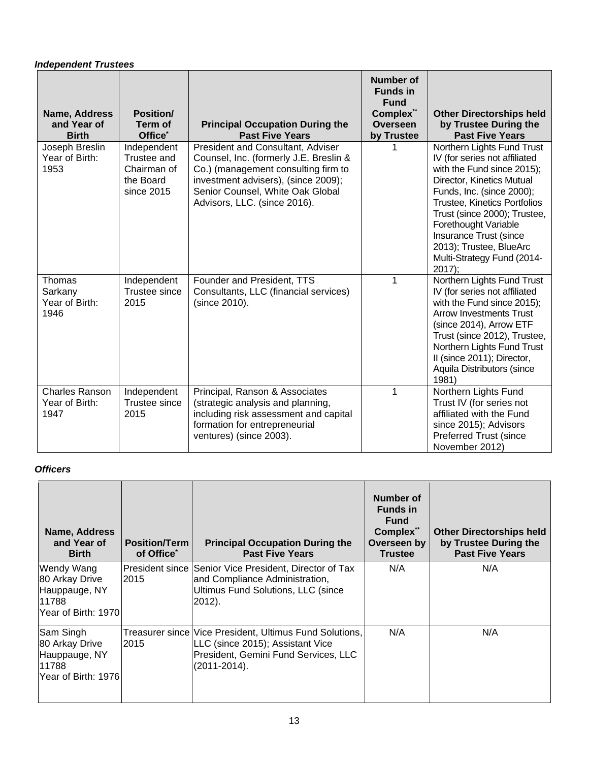## *Independent Trustees*

| Name, Address<br>and Year of<br><b>Birth</b>    | <b>Position/</b><br>Term of<br>Office <sup>*</sup>                   | <b>Principal Occupation During the</b><br><b>Past Five Years</b>                                                                                                                                                              | <b>Number of</b><br><b>Funds in</b><br><b>Fund</b><br>Complex**<br><b>Overseen</b><br>by Trustee | <b>Other Directorships held</b><br>by Trustee During the<br><b>Past Five Years</b>                                                                                                                                                                                                                                                         |
|-------------------------------------------------|----------------------------------------------------------------------|-------------------------------------------------------------------------------------------------------------------------------------------------------------------------------------------------------------------------------|--------------------------------------------------------------------------------------------------|--------------------------------------------------------------------------------------------------------------------------------------------------------------------------------------------------------------------------------------------------------------------------------------------------------------------------------------------|
| Joseph Breslin<br>Year of Birth:<br>1953        | Independent<br>Trustee and<br>Chairman of<br>the Board<br>since 2015 | President and Consultant, Adviser<br>Counsel, Inc. (formerly J.E. Breslin &<br>Co.) (management consulting firm to<br>investment advisers), (since 2009);<br>Senior Counsel, White Oak Global<br>Advisors, LLC. (since 2016). |                                                                                                  | Northern Lights Fund Trust<br>IV (for series not affiliated<br>with the Fund since 2015);<br>Director, Kinetics Mutual<br>Funds, Inc. (since 2000);<br>Trustee, Kinetics Portfolios<br>Trust (since 2000); Trustee,<br>Forethought Variable<br>Insurance Trust (since<br>2013); Trustee, BlueArc<br>Multi-Strategy Fund (2014-<br>$2017$ ; |
| Thomas<br>Sarkany<br>Year of Birth:<br>1946     | Independent<br><b>Trustee since</b><br>2015                          | Founder and President, TTS<br>Consultants, LLC (financial services)<br>(since 2010).                                                                                                                                          | 1                                                                                                | Northern Lights Fund Trust<br>IV (for series not affiliated<br>with the Fund since 2015);<br><b>Arrow Investments Trust</b><br>(since 2014), Arrow ETF<br>Trust (since 2012), Trustee,<br>Northern Lights Fund Trust<br>II (since 2011); Director,<br>Aquila Distributors (since<br>1981)                                                  |
| <b>Charles Ranson</b><br>Year of Birth:<br>1947 | Independent<br>Trustee since<br>2015                                 | Principal, Ranson & Associates<br>(strategic analysis and planning,<br>including risk assessment and capital<br>formation for entrepreneurial<br>ventures) (since 2003).                                                      | 1                                                                                                | Northern Lights Fund<br>Trust IV (for series not<br>affiliated with the Fund<br>since 2015); Advisors<br><b>Preferred Trust (since</b><br>November 2012)                                                                                                                                                                                   |

## *Officers*

| Name, Address<br>and Year of<br><b>Birth</b>                                  | <b>Position/Term</b><br>of Office <sup>*</sup> | <b>Principal Occupation During the</b><br><b>Past Five Years</b>                                                                                      | Number of<br><b>Funds in</b><br><b>Fund</b><br>Complex**<br>Overseen by<br><b>Trustee</b> | <b>Other Directorships held</b><br>by Trustee During the<br><b>Past Five Years</b> |
|-------------------------------------------------------------------------------|------------------------------------------------|-------------------------------------------------------------------------------------------------------------------------------------------------------|-------------------------------------------------------------------------------------------|------------------------------------------------------------------------------------|
| Wendy Wang<br>80 Arkay Drive<br>Hauppauge, NY<br>11788<br>Year of Birth: 1970 | President since<br>2015                        | Senior Vice President, Director of Tax<br>and Compliance Administration,<br>Ultimus Fund Solutions, LLC (since<br>2012).                              | N/A                                                                                       | N/A                                                                                |
| Sam Singh<br>80 Arkay Drive<br>Hauppauge, NY<br>11788<br>Year of Birth: 1976  | 2015                                           | Treasurer since   Vice President, Ultimus Fund Solutions,<br>LLC (since 2015); Assistant Vice<br>President, Gemini Fund Services, LLC<br>(2011-2014). | N/A                                                                                       | N/A                                                                                |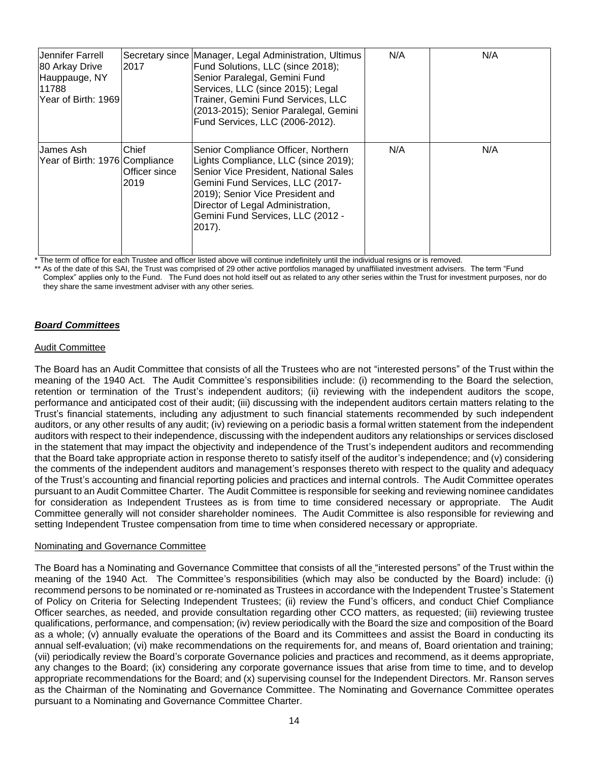| Jennifer Farrell<br>80 Arkay Drive<br>Hauppauge, NY<br>11788<br>Year of Birth: 1969 | 2017                            | Secretary since Manager, Legal Administration, Ultimus<br>Fund Solutions, LLC (since 2018);<br>Senior Paralegal, Gemini Fund<br>Services, LLC (since 2015); Legal<br>Trainer, Gemini Fund Services, LLC<br>(2013-2015); Senior Paralegal, Gemini<br>Fund Services, LLC (2006-2012). | N/A | N/A |
|-------------------------------------------------------------------------------------|---------------------------------|-------------------------------------------------------------------------------------------------------------------------------------------------------------------------------------------------------------------------------------------------------------------------------------|-----|-----|
| James Ash<br>Year of Birth: 1976 Compliance                                         | Chief<br>lOfficer since<br>2019 | Senior Compliance Officer, Northern<br>Lights Compliance, LLC (since 2019);<br>Senior Vice President, National Sales<br>Gemini Fund Services, LLC (2017-<br>2019); Senior Vice President and<br>Director of Legal Administration,<br>Gemini Fund Services, LLC (2012 -<br>$2017$ ). | N/A | N/A |

The term of office for each Trustee and officer listed above will continue indefinitely until the individual resigns or is removed.

As of the date of this SAI, the Trust was comprised of 29 other active portfolios managed by unaffiliated investment advisers. The term "Fund Complex" applies only to the Fund. The Fund does not hold itself out as related to any other series within the Trust for investment purposes, nor do they share the same investment adviser with any other series.

## *Board Committees*

### Audit Committee

The Board has an Audit Committee that consists of all the Trustees who are not "interested persons" of the Trust within the meaning of the 1940 Act. The Audit Committee's responsibilities include: (i) recommending to the Board the selection, retention or termination of the Trust's independent auditors; (ii) reviewing with the independent auditors the scope, performance and anticipated cost of their audit; (iii) discussing with the independent auditors certain matters relating to the Trust's financial statements, including any adjustment to such financial statements recommended by such independent auditors, or any other results of any audit; (iv) reviewing on a periodic basis a formal written statement from the independent auditors with respect to their independence, discussing with the independent auditors any relationships or services disclosed in the statement that may impact the objectivity and independence of the Trust's independent auditors and recommending that the Board take appropriate action in response thereto to satisfy itself of the auditor's independence; and (v) considering the comments of the independent auditors and management's responses thereto with respect to the quality and adequacy of the Trust's accounting and financial reporting policies and practices and internal controls. The Audit Committee operates pursuant to an Audit Committee Charter. The Audit Committee is responsible for seeking and reviewing nominee candidates for consideration as Independent Trustees as is from time to time considered necessary or appropriate. The Audit Committee generally will not consider shareholder nominees. The Audit Committee is also responsible for reviewing and setting Independent Trustee compensation from time to time when considered necessary or appropriate.

#### Nominating and Governance Committee

The Board has a Nominating and Governance Committee that consists of all the "interested persons" of the Trust within the meaning of the 1940 Act. The Committee's responsibilities (which may also be conducted by the Board) include: (i) recommend persons to be nominated or re-nominated as Trustees in accordance with the Independent Trustee's Statement of Policy on Criteria for Selecting Independent Trustees; (ii) review the Fund's officers, and conduct Chief Compliance Officer searches, as needed, and provide consultation regarding other CCO matters, as requested; (iii) reviewing trustee qualifications, performance, and compensation; (iv) review periodically with the Board the size and composition of the Board as a whole; (v) annually evaluate the operations of the Board and its Committees and assist the Board in conducting its annual self-evaluation; (vi) make recommendations on the requirements for, and means of, Board orientation and training; (vii) periodically review the Board's corporate Governance policies and practices and recommend, as it deems appropriate, any changes to the Board; (ix) considering any corporate governance issues that arise from time to time, and to develop appropriate recommendations for the Board; and (x) supervising counsel for the Independent Directors. Mr. Ranson serves as the Chairman of the Nominating and Governance Committee. The Nominating and Governance Committee operates pursuant to a Nominating and Governance Committee Charter.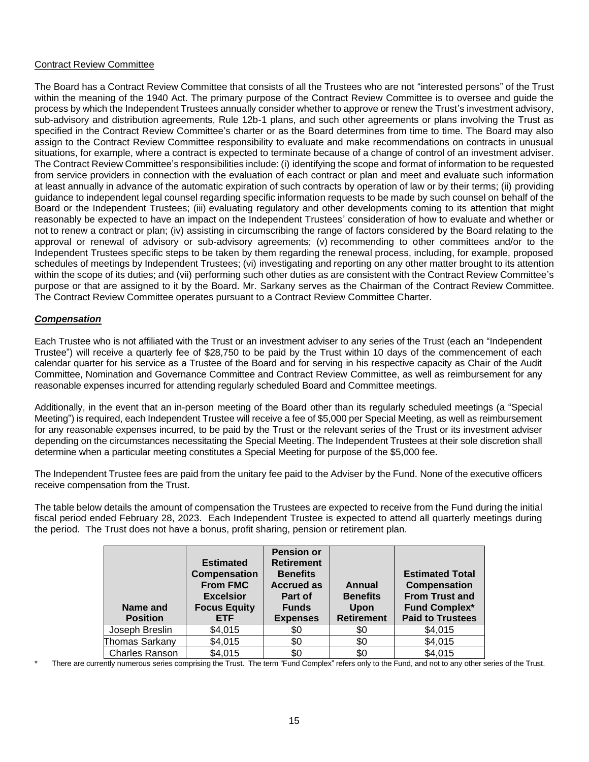### Contract Review Committee

The Board has a Contract Review Committee that consists of all the Trustees who are not "interested persons" of the Trust within the meaning of the 1940 Act. The primary purpose of the Contract Review Committee is to oversee and guide the process by which the Independent Trustees annually consider whether to approve or renew the Trust's investment advisory, sub-advisory and distribution agreements, Rule 12b-1 plans, and such other agreements or plans involving the Trust as specified in the Contract Review Committee's charter or as the Board determines from time to time. The Board may also assign to the Contract Review Committee responsibility to evaluate and make recommendations on contracts in unusual situations, for example, where a contract is expected to terminate because of a change of control of an investment adviser. The Contract Review Committee's responsibilities include: (i) identifying the scope and format of information to be requested from service providers in connection with the evaluation of each contract or plan and meet and evaluate such information at least annually in advance of the automatic expiration of such contracts by operation of law or by their terms; (ii) providing guidance to independent legal counsel regarding specific information requests to be made by such counsel on behalf of the Board or the Independent Trustees; (iii) evaluating regulatory and other developments coming to its attention that might reasonably be expected to have an impact on the Independent Trustees' consideration of how to evaluate and whether or not to renew a contract or plan; (iv) assisting in circumscribing the range of factors considered by the Board relating to the approval or renewal of advisory or sub-advisory agreements; (v) recommending to other committees and/or to the Independent Trustees specific steps to be taken by them regarding the renewal process, including, for example, proposed schedules of meetings by Independent Trustees; (vi) investigating and reporting on any other matter brought to its attention within the scope of its duties; and (vii) performing such other duties as are consistent with the Contract Review Committee's purpose or that are assigned to it by the Board. Mr. Sarkany serves as the Chairman of the Contract Review Committee. The Contract Review Committee operates pursuant to a Contract Review Committee Charter.

### *Compensation*

Each Trustee who is not affiliated with the Trust or an investment adviser to any series of the Trust (each an "Independent Trustee") will receive a quarterly fee of \$28,750 to be paid by the Trust within 10 days of the commencement of each calendar quarter for his service as a Trustee of the Board and for serving in his respective capacity as Chair of the Audit Committee, Nomination and Governance Committee and Contract Review Committee, as well as reimbursement for any reasonable expenses incurred for attending regularly scheduled Board and Committee meetings.

Additionally, in the event that an in-person meeting of the Board other than its regularly scheduled meetings (a "Special Meeting") is required, each Independent Trustee will receive a fee of \$5,000 per Special Meeting, as well as reimbursement for any reasonable expenses incurred, to be paid by the Trust or the relevant series of the Trust or its investment adviser depending on the circumstances necessitating the Special Meeting. The Independent Trustees at their sole discretion shall determine when a particular meeting constitutes a Special Meeting for purpose of the \$5,000 fee.

The Independent Trustee fees are paid from the unitary fee paid to the Adviser by the Fund. None of the executive officers receive compensation from the Trust.

The table below details the amount of compensation the Trustees are expected to receive from the Fund during the initial fiscal period ended February 28, 2023. Each Independent Trustee is expected to attend all quarterly meetings during the period. The Trust does not have a bonus, profit sharing, pension or retirement plan.

| Name and<br><b>Position</b> | <b>Estimated</b><br><b>Compensation</b><br><b>From FMC</b><br><b>Excelsior</b><br><b>Focus Equity</b><br><b>ETF</b> | <b>Pension or</b><br><b>Retirement</b><br><b>Benefits</b><br><b>Accrued as</b><br>Part of<br><b>Funds</b><br><b>Expenses</b> | Annual<br><b>Benefits</b><br><b>Upon</b><br><b>Retirement</b> | <b>Estimated Total</b><br><b>Compensation</b><br><b>From Trust and</b><br><b>Fund Complex*</b><br><b>Paid to Trustees</b> |
|-----------------------------|---------------------------------------------------------------------------------------------------------------------|------------------------------------------------------------------------------------------------------------------------------|---------------------------------------------------------------|---------------------------------------------------------------------------------------------------------------------------|
| Joseph Breslin              | \$4,015                                                                                                             | \$0                                                                                                                          | \$0                                                           | \$4,015                                                                                                                   |
| Thomas Sarkany              | \$4,015                                                                                                             | \$0                                                                                                                          | \$0                                                           | \$4,015                                                                                                                   |
| <b>Charles Ranson</b>       | \$4,015                                                                                                             | \$0                                                                                                                          | \$0                                                           | \$4,015                                                                                                                   |

There are currently numerous series comprising the Trust. The term "Fund Complex" refers only to the Fund, and not to any other series of the Trust.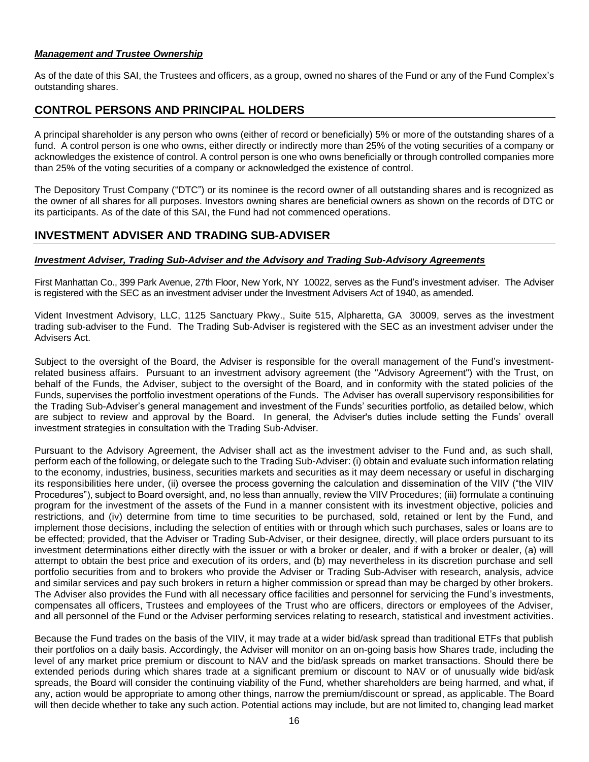### *Management and Trustee Ownership*

As of the date of this SAI, the Trustees and officers, as a group, owned no shares of the Fund or any of the Fund Complex's outstanding shares.

## **CONTROL PERSONS AND PRINCIPAL HOLDERS**

A principal shareholder is any person who owns (either of record or beneficially) 5% or more of the outstanding shares of a fund. A control person is one who owns, either directly or indirectly more than 25% of the voting securities of a company or acknowledges the existence of control. A control person is one who owns beneficially or through controlled companies more than 25% of the voting securities of a company or acknowledged the existence of control.

The Depository Trust Company ("DTC") or its nominee is the record owner of all outstanding shares and is recognized as the owner of all shares for all purposes. Investors owning shares are beneficial owners as shown on the records of DTC or its participants. As of the date of this SAI, the Fund had not commenced operations.

## **INVESTMENT ADVISER AND TRADING SUB-ADVISER**

## *Investment Adviser, Trading Sub-Adviser and the Advisory and Trading Sub-Advisory Agreements*

First Manhattan Co., 399 Park Avenue, 27th Floor, New York, NY 10022, serves as the Fund's investment adviser. The Adviser is registered with the SEC as an investment adviser under the Investment Advisers Act of 1940, as amended.

Vident Investment Advisory, LLC, 1125 Sanctuary Pkwy., Suite 515, Alpharetta, GA 30009, serves as the investment trading sub-adviser to the Fund. The Trading Sub-Adviser is registered with the SEC as an investment adviser under the Advisers Act.

Subject to the oversight of the Board, the Adviser is responsible for the overall management of the Fund's investmentrelated business affairs. Pursuant to an investment advisory agreement (the "Advisory Agreement") with the Trust, on behalf of the Funds, the Adviser, subject to the oversight of the Board, and in conformity with the stated policies of the Funds, supervises the portfolio investment operations of the Funds. The Adviser has overall supervisory responsibilities for the Trading Sub-Adviser's general management and investment of the Funds' securities portfolio, as detailed below, which are subject to review and approval by the Board. In general, the Adviser's duties include setting the Funds' overall investment strategies in consultation with the Trading Sub-Adviser.

Pursuant to the Advisory Agreement, the Adviser shall act as the investment adviser to the Fund and, as such shall, perform each of the following, or delegate such to the Trading Sub-Adviser: (i) obtain and evaluate such information relating to the economy, industries, business, securities markets and securities as it may deem necessary or useful in discharging its responsibilities here under, (ii) oversee the process governing the calculation and dissemination of the VIIV ("the VIIV Procedures"), subject to Board oversight, and, no less than annually, review the VIIV Procedures; (iii) formulate a continuing program for the investment of the assets of the Fund in a manner consistent with its investment objective, policies and restrictions, and (iv) determine from time to time securities to be purchased, sold, retained or lent by the Fund, and implement those decisions, including the selection of entities with or through which such purchases, sales or loans are to be effected; provided, that the Adviser or Trading Sub-Adviser, or their designee, directly, will place orders pursuant to its investment determinations either directly with the issuer or with a broker or dealer, and if with a broker or dealer, (a) will attempt to obtain the best price and execution of its orders, and (b) may nevertheless in its discretion purchase and sell portfolio securities from and to brokers who provide the Adviser or Trading Sub-Adviser with research, analysis, advice and similar services and pay such brokers in return a higher commission or spread than may be charged by other brokers. The Adviser also provides the Fund with all necessary office facilities and personnel for servicing the Fund's investments, compensates all officers, Trustees and employees of the Trust who are officers, directors or employees of the Adviser, and all personnel of the Fund or the Adviser performing services relating to research, statistical and investment activities.

Because the Fund trades on the basis of the VIIV, it may trade at a wider bid/ask spread than traditional ETFs that publish their portfolios on a daily basis. Accordingly, the Adviser will monitor on an on-going basis how Shares trade, including the level of any market price premium or discount to NAV and the bid/ask spreads on market transactions. Should there be extended periods during which shares trade at a significant premium or discount to NAV or of unusually wide bid/ask spreads, the Board will consider the continuing viability of the Fund, whether shareholders are being harmed, and what, if any, action would be appropriate to among other things, narrow the premium/discount or spread, as applicable. The Board will then decide whether to take any such action. Potential actions may include, but are not limited to, changing lead market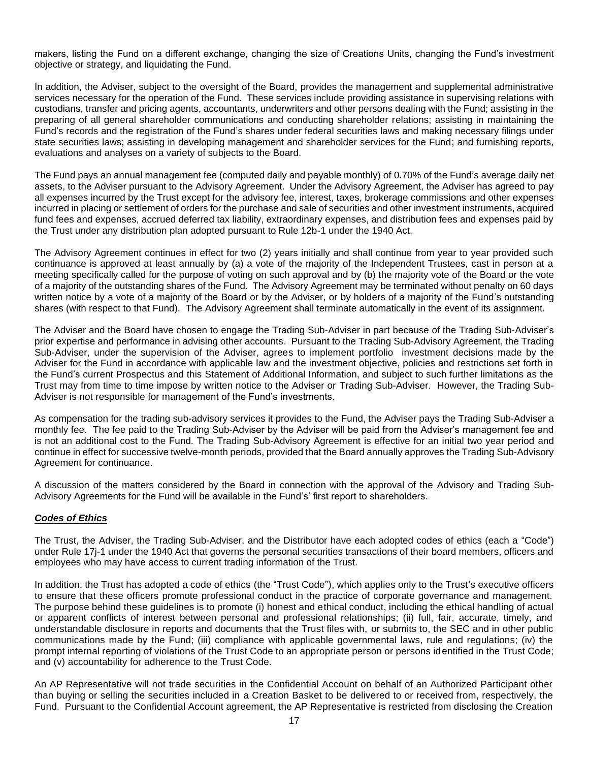makers, listing the Fund on a different exchange, changing the size of Creations Units, changing the Fund's investment objective or strategy, and liquidating the Fund.

In addition, the Adviser, subject to the oversight of the Board, provides the management and supplemental administrative services necessary for the operation of the Fund. These services include providing assistance in supervising relations with custodians, transfer and pricing agents, accountants, underwriters and other persons dealing with the Fund; assisting in the preparing of all general shareholder communications and conducting shareholder relations; assisting in maintaining the Fund's records and the registration of the Fund's shares under federal securities laws and making necessary filings under state securities laws; assisting in developing management and shareholder services for the Fund; and furnishing reports, evaluations and analyses on a variety of subjects to the Board.

The Fund pays an annual management fee (computed daily and payable monthly) of 0.70% of the Fund's average daily net assets, to the Adviser pursuant to the Advisory Agreement. Under the Advisory Agreement, the Adviser has agreed to pay all expenses incurred by the Trust except for the advisory fee, interest, taxes, brokerage commissions and other expenses incurred in placing or settlement of orders for the purchase and sale of securities and other investment instruments, acquired fund fees and expenses, accrued deferred tax liability, extraordinary expenses, and distribution fees and expenses paid by the Trust under any distribution plan adopted pursuant to Rule 12b-1 under the 1940 Act.

The Advisory Agreement continues in effect for two (2) years initially and shall continue from year to year provided such continuance is approved at least annually by (a) a vote of the majority of the Independent Trustees, cast in person at a meeting specifically called for the purpose of voting on such approval and by (b) the majority vote of the Board or the vote of a majority of the outstanding shares of the Fund. The Advisory Agreement may be terminated without penalty on 60 days written notice by a vote of a majority of the Board or by the Adviser, or by holders of a majority of the Fund's outstanding shares (with respect to that Fund). The Advisory Agreement shall terminate automatically in the event of its assignment.

The Adviser and the Board have chosen to engage the Trading Sub-Adviser in part because of the Trading Sub-Adviser's prior expertise and performance in advising other accounts. Pursuant to the Trading Sub-Advisory Agreement, the Trading Sub-Adviser, under the supervision of the Adviser, agrees to implement portfolio investment decisions made by the Adviser for the Fund in accordance with applicable law and the investment objective, policies and restrictions set forth in the Fund's current Prospectus and this Statement of Additional Information, and subject to such further limitations as the Trust may from time to time impose by written notice to the Adviser or Trading Sub-Adviser. However, the Trading Sub-Adviser is not responsible for management of the Fund's investments.

As compensation for the trading sub-advisory services it provides to the Fund, the Adviser pays the Trading Sub-Adviser a monthly fee. The fee paid to the Trading Sub-Adviser by the Adviser will be paid from the Adviser's management fee and is not an additional cost to the Fund. The Trading Sub-Advisory Agreement is effective for an initial two year period and continue in effect for successive twelve-month periods, provided that the Board annually approves the Trading Sub-Advisory Agreement for continuance.

A discussion of the matters considered by the Board in connection with the approval of the Advisory and Trading Sub-Advisory Agreements for the Fund will be available in the Fund's' first report to shareholders.

## *Codes of Ethics*

The Trust, the Adviser, the Trading Sub-Adviser, and the Distributor have each adopted codes of ethics (each a "Code") under Rule 17j-1 under the 1940 Act that governs the personal securities transactions of their board members, officers and employees who may have access to current trading information of the Trust.

In addition, the Trust has adopted a code of ethics (the "Trust Code"), which applies only to the Trust's executive officers to ensure that these officers promote professional conduct in the practice of corporate governance and management. The purpose behind these guidelines is to promote (i) honest and ethical conduct, including the ethical handling of actual or apparent conflicts of interest between personal and professional relationships; (ii) full, fair, accurate, timely, and understandable disclosure in reports and documents that the Trust files with, or submits to, the SEC and in other public communications made by the Fund; (iii) compliance with applicable governmental laws, rule and regulations; (iv) the prompt internal reporting of violations of the Trust Code to an appropriate person or persons identified in the Trust Code; and (v) accountability for adherence to the Trust Code.

An AP Representative will not trade securities in the Confidential Account on behalf of an Authorized Participant other than buying or selling the securities included in a Creation Basket to be delivered to or received from, respectively, the Fund. Pursuant to the Confidential Account agreement, the AP Representative is restricted from disclosing the Creation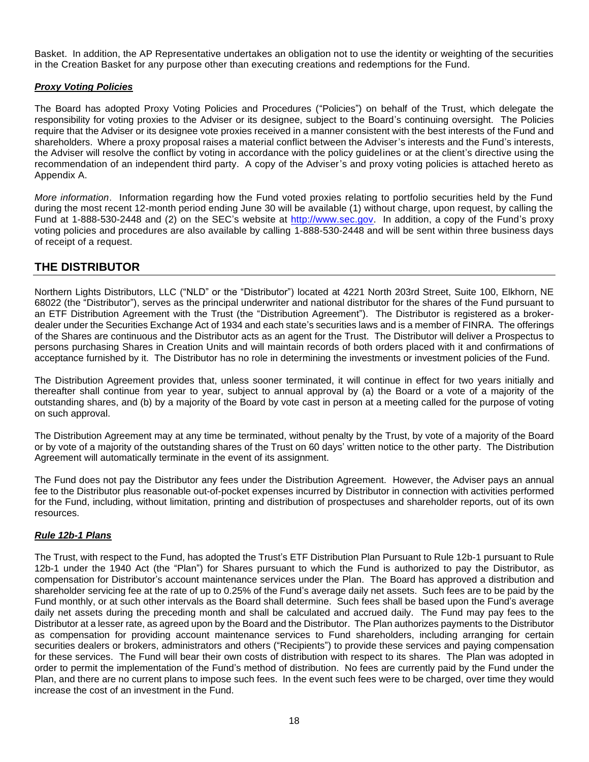Basket. In addition, the AP Representative undertakes an obligation not to use the identity or weighting of the securities in the Creation Basket for any purpose other than executing creations and redemptions for the Fund.

### *Proxy Voting Policies*

The Board has adopted Proxy Voting Policies and Procedures ("Policies") on behalf of the Trust, which delegate the responsibility for voting proxies to the Adviser or its designee, subject to the Board's continuing oversight. The Policies require that the Adviser or its designee vote proxies received in a manner consistent with the best interests of the Fund and shareholders. Where a proxy proposal raises a material conflict between the Adviser's interests and the Fund's interests, the Adviser will resolve the conflict by voting in accordance with the policy guidelines or at the client's directive using the recommendation of an independent third party. A copy of the Adviser's and proxy voting policies is attached hereto as Appendix A.

*More information*. Information regarding how the Fund voted proxies relating to portfolio securities held by the Fund during the most recent 12-month period ending June 30 will be available (1) without charge, upon request, by calling the Fund at 1-888-530-2448 and (2) on the SEC's website at [http://www.sec.gov.](http://www.sec.gov/) In addition, a copy of the Fund's proxy voting policies and procedures are also available by calling 1-888-530-2448 and will be sent within three business days of receipt of a request.

## **THE DISTRIBUTOR**

Northern Lights Distributors, LLC ("NLD" or the "Distributor") located at 4221 North 203rd Street, Suite 100, Elkhorn, NE 68022 (the "Distributor"), serves as the principal underwriter and national distributor for the shares of the Fund pursuant to an ETF Distribution Agreement with the Trust (the "Distribution Agreement"). The Distributor is registered as a brokerdealer under the Securities Exchange Act of 1934 and each state's securities laws and is a member of FINRA. The offerings of the Shares are continuous and the Distributor acts as an agent for the Trust. The Distributor will deliver a Prospectus to persons purchasing Shares in Creation Units and will maintain records of both orders placed with it and confirmations of acceptance furnished by it. The Distributor has no role in determining the investments or investment policies of the Fund.

The Distribution Agreement provides that, unless sooner terminated, it will continue in effect for two years initially and thereafter shall continue from year to year, subject to annual approval by (a) the Board or a vote of a majority of the outstanding shares, and (b) by a majority of the Board by vote cast in person at a meeting called for the purpose of voting on such approval.

The Distribution Agreement may at any time be terminated, without penalty by the Trust, by vote of a majority of the Board or by vote of a majority of the outstanding shares of the Trust on 60 days' written notice to the other party. The Distribution Agreement will automatically terminate in the event of its assignment.

The Fund does not pay the Distributor any fees under the Distribution Agreement. However, the Adviser pays an annual fee to the Distributor plus reasonable out-of-pocket expenses incurred by Distributor in connection with activities performed for the Fund, including, without limitation, printing and distribution of prospectuses and shareholder reports, out of its own resources.

## *Rule 12b-1 Plans*

The Trust, with respect to the Fund, has adopted the Trust's ETF Distribution Plan Pursuant to Rule 12b-1 pursuant to Rule 12b-1 under the 1940 Act (the "Plan") for Shares pursuant to which the Fund is authorized to pay the Distributor, as compensation for Distributor's account maintenance services under the Plan. The Board has approved a distribution and shareholder servicing fee at the rate of up to 0.25% of the Fund's average daily net assets. Such fees are to be paid by the Fund monthly, or at such other intervals as the Board shall determine. Such fees shall be based upon the Fund's average daily net assets during the preceding month and shall be calculated and accrued daily. The Fund may pay fees to the Distributor at a lesser rate, as agreed upon by the Board and the Distributor. The Plan authorizes payments to the Distributor as compensation for providing account maintenance services to Fund shareholders, including arranging for certain securities dealers or brokers, administrators and others ("Recipients") to provide these services and paying compensation for these services. The Fund will bear their own costs of distribution with respect to its shares. The Plan was adopted in order to permit the implementation of the Fund's method of distribution. No fees are currently paid by the Fund under the Plan, and there are no current plans to impose such fees. In the event such fees were to be charged, over time they would increase the cost of an investment in the Fund.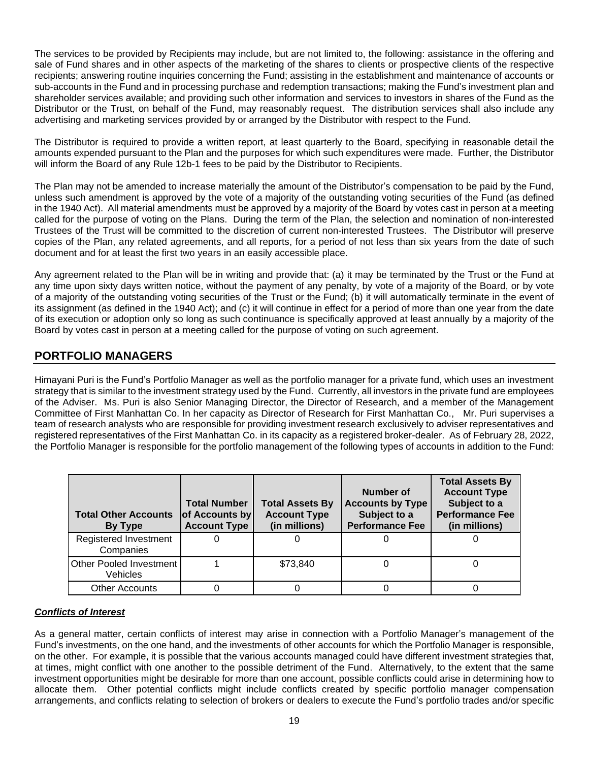The services to be provided by Recipients may include, but are not limited to, the following: assistance in the offering and sale of Fund shares and in other aspects of the marketing of the shares to clients or prospective clients of the respective recipients; answering routine inquiries concerning the Fund; assisting in the establishment and maintenance of accounts or sub-accounts in the Fund and in processing purchase and redemption transactions; making the Fund's investment plan and shareholder services available; and providing such other information and services to investors in shares of the Fund as the Distributor or the Trust, on behalf of the Fund, may reasonably request. The distribution services shall also include any advertising and marketing services provided by or arranged by the Distributor with respect to the Fund.

The Distributor is required to provide a written report, at least quarterly to the Board, specifying in reasonable detail the amounts expended pursuant to the Plan and the purposes for which such expenditures were made. Further, the Distributor will inform the Board of any Rule 12b-1 fees to be paid by the Distributor to Recipients.

The Plan may not be amended to increase materially the amount of the Distributor's compensation to be paid by the Fund, unless such amendment is approved by the vote of a majority of the outstanding voting securities of the Fund (as defined in the 1940 Act). All material amendments must be approved by a majority of the Board by votes cast in person at a meeting called for the purpose of voting on the Plans. During the term of the Plan, the selection and nomination of non-interested Trustees of the Trust will be committed to the discretion of current non-interested Trustees. The Distributor will preserve copies of the Plan, any related agreements, and all reports, for a period of not less than six years from the date of such document and for at least the first two years in an easily accessible place.

Any agreement related to the Plan will be in writing and provide that: (a) it may be terminated by the Trust or the Fund at any time upon sixty days written notice, without the payment of any penalty, by vote of a majority of the Board, or by vote of a majority of the outstanding voting securities of the Trust or the Fund; (b) it will automatically terminate in the event of its assignment (as defined in the 1940 Act); and (c) it will continue in effect for a period of more than one year from the date of its execution or adoption only so long as such continuance is specifically approved at least annually by a majority of the Board by votes cast in person at a meeting called for the purpose of voting on such agreement.

## **PORTFOLIO MANAGERS**

Himayani Puri is the Fund's Portfolio Manager as well as the portfolio manager for a private fund, which uses an investment strategy that is similar to the investment strategy used by the Fund. Currently, all investors in the private fund are employees of the Adviser. Ms. Puri is also Senior Managing Director, the Director of Research, and a member of the Management Committee of First Manhattan Co. In her capacity as Director of Research for First Manhattan Co., Mr. Puri supervises a team of research analysts who are responsible for providing investment research exclusively to adviser representatives and registered representatives of the First Manhattan Co. in its capacity as a registered broker-dealer. As of February 28, 2022, the Portfolio Manager is responsible for the portfolio management of the following types of accounts in addition to the Fund:

| <b>Total Other Accounts</b><br>By Type     | <b>Total Number</b><br>of Accounts by<br><b>Account Type</b> | <b>Total Assets By</b><br><b>Account Type</b><br>(in millions) | Number of<br><b>Accounts by Type</b><br>Subject to a<br><b>Performance Fee</b> | <b>Total Assets By</b><br><b>Account Type</b><br>Subject to a<br><b>Performance Fee</b><br>(in millions) |
|--------------------------------------------|--------------------------------------------------------------|----------------------------------------------------------------|--------------------------------------------------------------------------------|----------------------------------------------------------------------------------------------------------|
| Registered Investment<br>Companies         |                                                              |                                                                |                                                                                |                                                                                                          |
| <b>Other Pooled Investment</b><br>Vehicles |                                                              | \$73.840                                                       |                                                                                |                                                                                                          |
| Other Accounts                             |                                                              |                                                                |                                                                                |                                                                                                          |

## *Conflicts of Interest*

As a general matter, certain conflicts of interest may arise in connection with a Portfolio Manager's management of the Fund's investments, on the one hand, and the investments of other accounts for which the Portfolio Manager is responsible, on the other. For example, it is possible that the various accounts managed could have different investment strategies that, at times, might conflict with one another to the possible detriment of the Fund. Alternatively, to the extent that the same investment opportunities might be desirable for more than one account, possible conflicts could arise in determining how to allocate them. Other potential conflicts might include conflicts created by specific portfolio manager compensation arrangements, and conflicts relating to selection of brokers or dealers to execute the Fund's portfolio trades and/or specific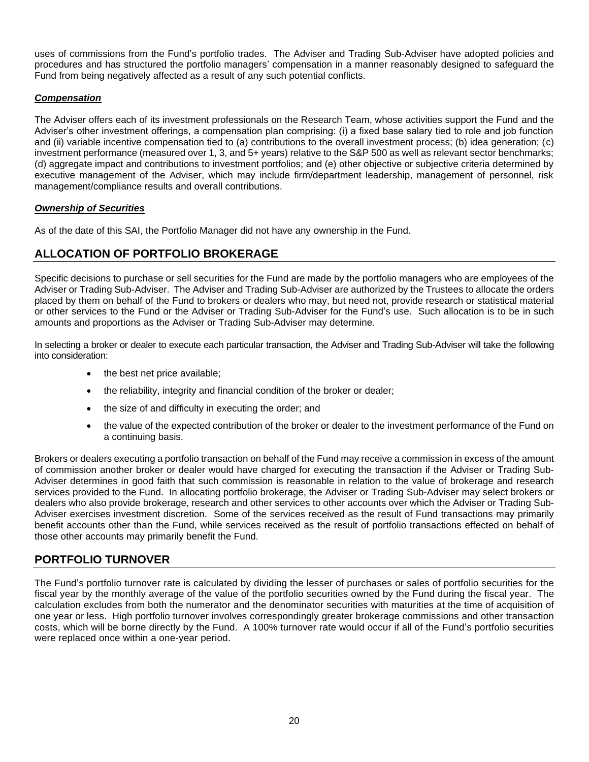uses of commissions from the Fund's portfolio trades. The Adviser and Trading Sub-Adviser have adopted policies and procedures and has structured the portfolio managers' compensation in a manner reasonably designed to safeguard the Fund from being negatively affected as a result of any such potential conflicts.

## *Compensation*

The Adviser offers each of its investment professionals on the Research Team, whose activities support the Fund and the Adviser's other investment offerings, a compensation plan comprising: (i) a fixed base salary tied to role and job function and (ii) variable incentive compensation tied to (a) contributions to the overall investment process; (b) idea generation; (c) investment performance (measured over 1, 3, and 5+ years) relative to the S&P 500 as well as relevant sector benchmarks; (d) aggregate impact and contributions to investment portfolios; and (e) other objective or subjective criteria determined by executive management of the Adviser, which may include firm/department leadership, management of personnel, risk management/compliance results and overall contributions.

## *Ownership of Securities*

As of the date of this SAI, the Portfolio Manager did not have any ownership in the Fund.

## **ALLOCATION OF PORTFOLIO BROKERAGE**

Specific decisions to purchase or sell securities for the Fund are made by the portfolio managers who are employees of the Adviser or Trading Sub-Adviser. The Adviser and Trading Sub-Adviser are authorized by the Trustees to allocate the orders placed by them on behalf of the Fund to brokers or dealers who may, but need not, provide research or statistical material or other services to the Fund or the Adviser or Trading Sub-Adviser for the Fund's use. Such allocation is to be in such amounts and proportions as the Adviser or Trading Sub-Adviser may determine.

In selecting a broker or dealer to execute each particular transaction, the Adviser and Trading Sub-Adviser will take the following into consideration:

- the best net price available;
- the reliability, integrity and financial condition of the broker or dealer;
- the size of and difficulty in executing the order; and
- the value of the expected contribution of the broker or dealer to the investment performance of the Fund on a continuing basis.

Brokers or dealers executing a portfolio transaction on behalf of the Fund may receive a commission in excess of the amount of commission another broker or dealer would have charged for executing the transaction if the Adviser or Trading Sub-Adviser determines in good faith that such commission is reasonable in relation to the value of brokerage and research services provided to the Fund. In allocating portfolio brokerage, the Adviser or Trading Sub-Adviser may select brokers or dealers who also provide brokerage, research and other services to other accounts over which the Adviser or Trading Sub-Adviser exercises investment discretion. Some of the services received as the result of Fund transactions may primarily benefit accounts other than the Fund, while services received as the result of portfolio transactions effected on behalf of those other accounts may primarily benefit the Fund.

## **PORTFOLIO TURNOVER**

The Fund's portfolio turnover rate is calculated by dividing the lesser of purchases or sales of portfolio securities for the fiscal year by the monthly average of the value of the portfolio securities owned by the Fund during the fiscal year. The calculation excludes from both the numerator and the denominator securities with maturities at the time of acquisition of one year or less. High portfolio turnover involves correspondingly greater brokerage commissions and other transaction costs, which will be borne directly by the Fund. A 100% turnover rate would occur if all of the Fund's portfolio securities were replaced once within a one-year period.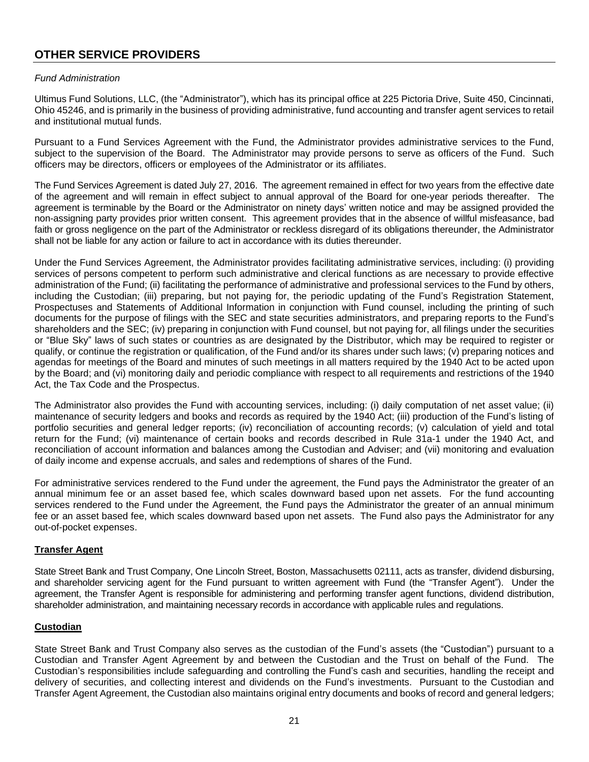## **OTHER SERVICE PROVIDERS**

#### *Fund Administration*

Ultimus Fund Solutions, LLC, (the "Administrator"), which has its principal office at 225 Pictoria Drive, Suite 450, Cincinnati, Ohio 45246, and is primarily in the business of providing administrative, fund accounting and transfer agent services to retail and institutional mutual funds.

Pursuant to a Fund Services Agreement with the Fund, the Administrator provides administrative services to the Fund, subject to the supervision of the Board. The Administrator may provide persons to serve as officers of the Fund. Such officers may be directors, officers or employees of the Administrator or its affiliates.

The Fund Services Agreement is dated July 27, 2016. The agreement remained in effect for two years from the effective date of the agreement and will remain in effect subject to annual approval of the Board for one-year periods thereafter. The agreement is terminable by the Board or the Administrator on ninety days' written notice and may be assigned provided the non-assigning party provides prior written consent. This agreement provides that in the absence of willful misfeasance, bad faith or gross negligence on the part of the Administrator or reckless disregard of its obligations thereunder, the Administrator shall not be liable for any action or failure to act in accordance with its duties thereunder.

Under the Fund Services Agreement, the Administrator provides facilitating administrative services, including: (i) providing services of persons competent to perform such administrative and clerical functions as are necessary to provide effective administration of the Fund; (ii) facilitating the performance of administrative and professional services to the Fund by others, including the Custodian; (iii) preparing, but not paying for, the periodic updating of the Fund's Registration Statement, Prospectuses and Statements of Additional Information in conjunction with Fund counsel, including the printing of such documents for the purpose of filings with the SEC and state securities administrators, and preparing reports to the Fund's shareholders and the SEC; (iv) preparing in conjunction with Fund counsel, but not paying for, all filings under the securities or "Blue Sky" laws of such states or countries as are designated by the Distributor, which may be required to register or qualify, or continue the registration or qualification, of the Fund and/or its shares under such laws; (v) preparing notices and agendas for meetings of the Board and minutes of such meetings in all matters required by the 1940 Act to be acted upon by the Board; and (vi) monitoring daily and periodic compliance with respect to all requirements and restrictions of the 1940 Act, the Tax Code and the Prospectus.

The Administrator also provides the Fund with accounting services, including: (i) daily computation of net asset value; (ii) maintenance of security ledgers and books and records as required by the 1940 Act; (iii) production of the Fund's listing of portfolio securities and general ledger reports; (iv) reconciliation of accounting records; (v) calculation of yield and total return for the Fund; (vi) maintenance of certain books and records described in Rule 31a-1 under the 1940 Act, and reconciliation of account information and balances among the Custodian and Adviser; and (vii) monitoring and evaluation of daily income and expense accruals, and sales and redemptions of shares of the Fund.

For administrative services rendered to the Fund under the agreement, the Fund pays the Administrator the greater of an annual minimum fee or an asset based fee, which scales downward based upon net assets. For the fund accounting services rendered to the Fund under the Agreement, the Fund pays the Administrator the greater of an annual minimum fee or an asset based fee, which scales downward based upon net assets. The Fund also pays the Administrator for any out-of-pocket expenses.

## **Transfer Agent**

State Street Bank and Trust Company, One Lincoln Street, Boston, Massachusetts 02111, acts as transfer, dividend disbursing, and shareholder servicing agent for the Fund pursuant to written agreement with Fund (the "Transfer Agent"). Under the agreement, the Transfer Agent is responsible for administering and performing transfer agent functions, dividend distribution, shareholder administration, and maintaining necessary records in accordance with applicable rules and regulations.

#### **Custodian**

State Street Bank and Trust Company also serves as the custodian of the Fund's assets (the "Custodian") pursuant to a Custodian and Transfer Agent Agreement by and between the Custodian and the Trust on behalf of the Fund. The Custodian's responsibilities include safeguarding and controlling the Fund's cash and securities, handling the receipt and delivery of securities, and collecting interest and dividends on the Fund's investments. Pursuant to the Custodian and Transfer Agent Agreement, the Custodian also maintains original entry documents and books of record and general ledgers;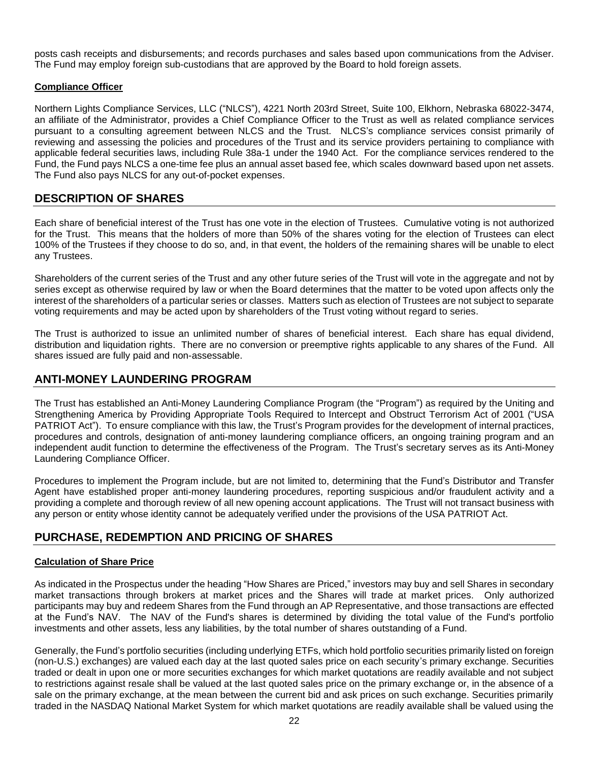posts cash receipts and disbursements; and records purchases and sales based upon communications from the Adviser. The Fund may employ foreign sub-custodians that are approved by the Board to hold foreign assets.

## **Compliance Officer**

Northern Lights Compliance Services, LLC ("NLCS"), 4221 North 203rd Street, Suite 100, Elkhorn, Nebraska 68022-3474, an affiliate of the Administrator, provides a Chief Compliance Officer to the Trust as well as related compliance services pursuant to a consulting agreement between NLCS and the Trust. NLCS's compliance services consist primarily of reviewing and assessing the policies and procedures of the Trust and its service providers pertaining to compliance with applicable federal securities laws, including Rule 38a-1 under the 1940 Act. For the compliance services rendered to the Fund, the Fund pays NLCS a one-time fee plus an annual asset based fee, which scales downward based upon net assets. The Fund also pays NLCS for any out-of-pocket expenses.

## **DESCRIPTION OF SHARES**

Each share of beneficial interest of the Trust has one vote in the election of Trustees. Cumulative voting is not authorized for the Trust. This means that the holders of more than 50% of the shares voting for the election of Trustees can elect 100% of the Trustees if they choose to do so, and, in that event, the holders of the remaining shares will be unable to elect any Trustees.

Shareholders of the current series of the Trust and any other future series of the Trust will vote in the aggregate and not by series except as otherwise required by law or when the Board determines that the matter to be voted upon affects only the interest of the shareholders of a particular series or classes. Matters such as election of Trustees are not subject to separate voting requirements and may be acted upon by shareholders of the Trust voting without regard to series.

The Trust is authorized to issue an unlimited number of shares of beneficial interest. Each share has equal dividend, distribution and liquidation rights. There are no conversion or preemptive rights applicable to any shares of the Fund. All shares issued are fully paid and non-assessable.

## **ANTI-MONEY LAUNDERING PROGRAM**

The Trust has established an Anti-Money Laundering Compliance Program (the "Program") as required by the Uniting and Strengthening America by Providing Appropriate Tools Required to Intercept and Obstruct Terrorism Act of 2001 ("USA PATRIOT Act"). To ensure compliance with this law, the Trust's Program provides for the development of internal practices, procedures and controls, designation of anti-money laundering compliance officers, an ongoing training program and an independent audit function to determine the effectiveness of the Program. The Trust's secretary serves as its Anti-Money Laundering Compliance Officer.

Procedures to implement the Program include, but are not limited to, determining that the Fund's Distributor and Transfer Agent have established proper anti-money laundering procedures, reporting suspicious and/or fraudulent activity and a providing a complete and thorough review of all new opening account applications. The Trust will not transact business with any person or entity whose identity cannot be adequately verified under the provisions of the USA PATRIOT Act.

## **PURCHASE, REDEMPTION AND PRICING OF SHARES**

## **Calculation of Share Price**

As indicated in the Prospectus under the heading "How Shares are Priced," investors may buy and sell Shares in secondary market transactions through brokers at market prices and the Shares will trade at market prices. Only authorized participants may buy and redeem Shares from the Fund through an AP Representative, and those transactions are effected at the Fund's NAV. The NAV of the Fund's shares is determined by dividing the total value of the Fund's portfolio investments and other assets, less any liabilities, by the total number of shares outstanding of a Fund.

Generally, the Fund's portfolio securities (including underlying ETFs, which hold portfolio securities primarily listed on foreign (non-U.S.) exchanges) are valued each day at the last quoted sales price on each security's primary exchange. Securities traded or dealt in upon one or more securities exchanges for which market quotations are readily available and not subject to restrictions against resale shall be valued at the last quoted sales price on the primary exchange or, in the absence of a sale on the primary exchange, at the mean between the current bid and ask prices on such exchange. Securities primarily traded in the NASDAQ National Market System for which market quotations are readily available shall be valued using the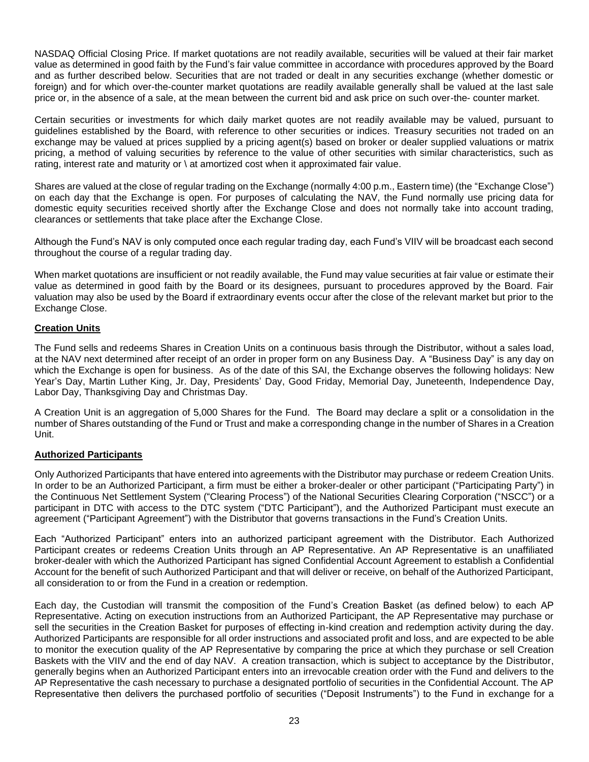NASDAQ Official Closing Price. If market quotations are not readily available, securities will be valued at their fair market value as determined in good faith by the Fund's fair value committee in accordance with procedures approved by the Board and as further described below. Securities that are not traded or dealt in any securities exchange (whether domestic or foreign) and for which over-the-counter market quotations are readily available generally shall be valued at the last sale price or, in the absence of a sale, at the mean between the current bid and ask price on such over-the- counter market.

Certain securities or investments for which daily market quotes are not readily available may be valued, pursuant to guidelines established by the Board, with reference to other securities or indices. Treasury securities not traded on an exchange may be valued at prices supplied by a pricing agent(s) based on broker or dealer supplied valuations or matrix pricing, a method of valuing securities by reference to the value of other securities with similar characteristics, such as rating, interest rate and maturity or \ at amortized cost when it approximated fair value.

Shares are valued at the close of regular trading on the Exchange (normally 4:00 p.m., Eastern time) (the "Exchange Close") on each day that the Exchange is open. For purposes of calculating the NAV, the Fund normally use pricing data for domestic equity securities received shortly after the Exchange Close and does not normally take into account trading, clearances or settlements that take place after the Exchange Close.

Although the Fund's NAV is only computed once each regular trading day, each Fund's VIIV will be broadcast each second throughout the course of a regular trading day.

When market quotations are insufficient or not readily available, the Fund may value securities at fair value or estimate their value as determined in good faith by the Board or its designees, pursuant to procedures approved by the Board. Fair valuation may also be used by the Board if extraordinary events occur after the close of the relevant market but prior to the Exchange Close.

## **Creation Units**

The Fund sells and redeems Shares in Creation Units on a continuous basis through the Distributor, without a sales load, at the NAV next determined after receipt of an order in proper form on any Business Day. A "Business Day" is any day on which the Exchange is open for business. As of the date of this SAI, the Exchange observes the following holidays: New Year's Day, Martin Luther King, Jr. Day, Presidents' Day, Good Friday, Memorial Day, Juneteenth, Independence Day, Labor Day, Thanksgiving Day and Christmas Day.

A Creation Unit is an aggregation of 5,000 Shares for the Fund. The Board may declare a split or a consolidation in the number of Shares outstanding of the Fund or Trust and make a corresponding change in the number of Shares in a Creation Unit.

## **Authorized Participants**

Only Authorized Participants that have entered into agreements with the Distributor may purchase or redeem Creation Units. In order to be an Authorized Participant, a firm must be either a broker-dealer or other participant ("Participating Party") in the Continuous Net Settlement System ("Clearing Process") of the National Securities Clearing Corporation ("NSCC") or a participant in DTC with access to the DTC system ("DTC Participant"), and the Authorized Participant must execute an agreement ("Participant Agreement") with the Distributor that governs transactions in the Fund's Creation Units.

Each "Authorized Participant" enters into an authorized participant agreement with the Distributor. Each Authorized Participant creates or redeems Creation Units through an AP Representative. An AP Representative is an unaffiliated broker-dealer with which the Authorized Participant has signed Confidential Account Agreement to establish a Confidential Account for the benefit of such Authorized Participant and that will deliver or receive, on behalf of the Authorized Participant, all consideration to or from the Fund in a creation or redemption.

Each day, the Custodian will transmit the composition of the Fund's Creation Basket (as defined below) to each AP Representative. Acting on execution instructions from an Authorized Participant, the AP Representative may purchase or sell the securities in the Creation Basket for purposes of effecting in-kind creation and redemption activity during the day. Authorized Participants are responsible for all order instructions and associated profit and loss, and are expected to be able to monitor the execution quality of the AP Representative by comparing the price at which they purchase or sell Creation Baskets with the VIIV and the end of day NAV. A creation transaction, which is subject to acceptance by the Distributor, generally begins when an Authorized Participant enters into an irrevocable creation order with the Fund and delivers to the AP Representative the cash necessary to purchase a designated portfolio of securities in the Confidential Account. The AP Representative then delivers the purchased portfolio of securities ("Deposit Instruments") to the Fund in exchange for a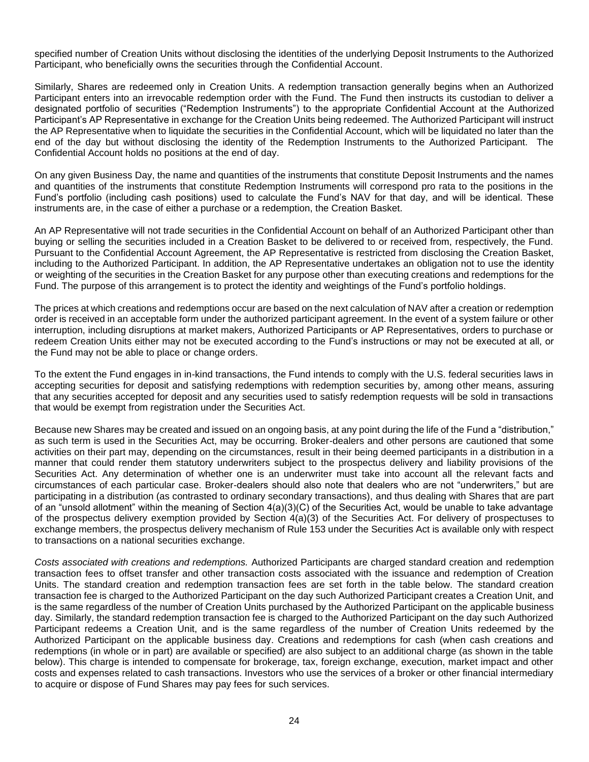specified number of Creation Units without disclosing the identities of the underlying Deposit Instruments to the Authorized Participant, who beneficially owns the securities through the Confidential Account.

Similarly, Shares are redeemed only in Creation Units. A redemption transaction generally begins when an Authorized Participant enters into an irrevocable redemption order with the Fund. The Fund then instructs its custodian to deliver a designated portfolio of securities ("Redemption Instruments") to the appropriate Confidential Account at the Authorized Participant's AP Representative in exchange for the Creation Units being redeemed. The Authorized Participant will instruct the AP Representative when to liquidate the securities in the Confidential Account, which will be liquidated no later than the end of the day but without disclosing the identity of the Redemption Instruments to the Authorized Participant. The Confidential Account holds no positions at the end of day.

On any given Business Day, the name and quantities of the instruments that constitute Deposit Instruments and the names and quantities of the instruments that constitute Redemption Instruments will correspond pro rata to the positions in the Fund's portfolio (including cash positions) used to calculate the Fund's NAV for that day, and will be identical. These instruments are, in the case of either a purchase or a redemption, the Creation Basket.

An AP Representative will not trade securities in the Confidential Account on behalf of an Authorized Participant other than buying or selling the securities included in a Creation Basket to be delivered to or received from, respectively, the Fund. Pursuant to the Confidential Account Agreement, the AP Representative is restricted from disclosing the Creation Basket, including to the Authorized Participant. In addition, the AP Representative undertakes an obligation not to use the identity or weighting of the securities in the Creation Basket for any purpose other than executing creations and redemptions for the Fund. The purpose of this arrangement is to protect the identity and weightings of the Fund's portfolio holdings.

The prices at which creations and redemptions occur are based on the next calculation of NAV after a creation or redemption order is received in an acceptable form under the authorized participant agreement. In the event of a system failure or other interruption, including disruptions at market makers, Authorized Participants or AP Representatives, orders to purchase or redeem Creation Units either may not be executed according to the Fund's instructions or may not be executed at all, or the Fund may not be able to place or change orders.

To the extent the Fund engages in in-kind transactions, the Fund intends to comply with the U.S. federal securities laws in accepting securities for deposit and satisfying redemptions with redemption securities by, among other means, assuring that any securities accepted for deposit and any securities used to satisfy redemption requests will be sold in transactions that would be exempt from registration under the Securities Act.

Because new Shares may be created and issued on an ongoing basis, at any point during the life of the Fund a "distribution," as such term is used in the Securities Act, may be occurring. Broker-dealers and other persons are cautioned that some activities on their part may, depending on the circumstances, result in their being deemed participants in a distribution in a manner that could render them statutory underwriters subject to the prospectus delivery and liability provisions of the Securities Act. Any determination of whether one is an underwriter must take into account all the relevant facts and circumstances of each particular case. Broker-dealers should also note that dealers who are not "underwriters," but are participating in a distribution (as contrasted to ordinary secondary transactions), and thus dealing with Shares that are part of an "unsold allotment" within the meaning of Section 4(a)(3)(C) of the Securities Act, would be unable to take advantage of the prospectus delivery exemption provided by Section 4(a)(3) of the Securities Act. For delivery of prospectuses to exchange members, the prospectus delivery mechanism of Rule 153 under the Securities Act is available only with respect to transactions on a national securities exchange.

*Costs associated with creations and redemptions.* Authorized Participants are charged standard creation and redemption transaction fees to offset transfer and other transaction costs associated with the issuance and redemption of Creation Units. The standard creation and redemption transaction fees are set forth in the table below. The standard creation transaction fee is charged to the Authorized Participant on the day such Authorized Participant creates a Creation Unit, and is the same regardless of the number of Creation Units purchased by the Authorized Participant on the applicable business day. Similarly, the standard redemption transaction fee is charged to the Authorized Participant on the day such Authorized Participant redeems a Creation Unit, and is the same regardless of the number of Creation Units redeemed by the Authorized Participant on the applicable business day. Creations and redemptions for cash (when cash creations and redemptions (in whole or in part) are available or specified) are also subject to an additional charge (as shown in the table below). This charge is intended to compensate for brokerage, tax, foreign exchange, execution, market impact and other costs and expenses related to cash transactions. Investors who use the services of a broker or other financial intermediary to acquire or dispose of Fund Shares may pay fees for such services.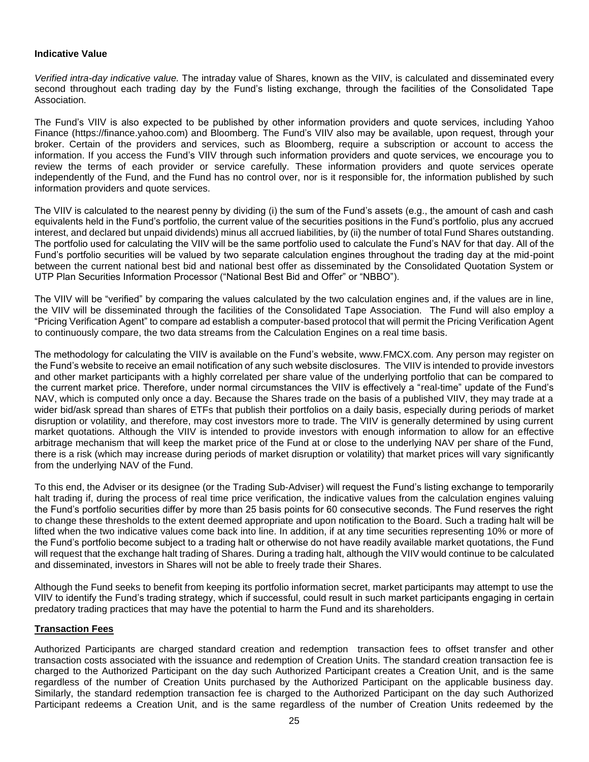### **Indicative Value**

*Verified intra-day indicative value.* The intraday value of Shares, known as the VIIV, is calculated and disseminated every second throughout each trading day by the Fund's listing exchange, through the facilities of the Consolidated Tape Association.

The Fund's VIIV is also expected to be published by other information providers and quote services, including Yahoo Finance (https://finance.yahoo.com) and Bloomberg. The Fund's VIIV also may be available, upon request, through your broker. Certain of the providers and services, such as Bloomberg, require a subscription or account to access the information. If you access the Fund's VIIV through such information providers and quote services, we encourage you to review the terms of each provider or service carefully. These information providers and quote services operate independently of the Fund, and the Fund has no control over, nor is it responsible for, the information published by such information providers and quote services.

The VIIV is calculated to the nearest penny by dividing (i) the sum of the Fund's assets (e.g., the amount of cash and cash equivalents held in the Fund's portfolio, the current value of the securities positions in the Fund's portfolio, plus any accrued interest, and declared but unpaid dividends) minus all accrued liabilities, by (ii) the number of total Fund Shares outstanding. The portfolio used for calculating the VIIV will be the same portfolio used to calculate the Fund's NAV for that day. All of the Fund's portfolio securities will be valued by two separate calculation engines throughout the trading day at the mid-point between the current national best bid and national best offer as disseminated by the Consolidated Quotation System or UTP Plan Securities Information Processor ("National Best Bid and Offer" or "NBBO").

The VIIV will be "verified" by comparing the values calculated by the two calculation engines and, if the values are in line, the VIIV will be disseminated through the facilities of the Consolidated Tape Association. The Fund will also employ a "Pricing Verification Agent" to compare ad establish a computer-based protocol that will permit the Pricing Verification Agent to continuously compare, the two data streams from the Calculation Engines on a real time basis.

The methodology for calculating the VIIV is available on the Fund's website, www.FMCX.com. Any person may register on the Fund's website to receive an email notification of any such website disclosures. The VIIV is intended to provide investors and other market participants with a highly correlated per share value of the underlying portfolio that can be compared to the current market price. Therefore, under normal circumstances the VIIV is effectively a "real-time" update of the Fund's NAV, which is computed only once a day. Because the Shares trade on the basis of a published VIIV, they may trade at a wider bid/ask spread than shares of ETFs that publish their portfolios on a daily basis, especially during periods of market disruption or volatility, and therefore, may cost investors more to trade. The VIIV is generally determined by using current market quotations. Although the VIIV is intended to provide investors with enough information to allow for an effective arbitrage mechanism that will keep the market price of the Fund at or close to the underlying NAV per share of the Fund, there is a risk (which may increase during periods of market disruption or volatility) that market prices will vary significantly from the underlying NAV of the Fund.

To this end, the Adviser or its designee (or the Trading Sub-Adviser) will request the Fund's listing exchange to temporarily halt trading if, during the process of real time price verification, the indicative values from the calculation engines valuing the Fund's portfolio securities differ by more than 25 basis points for 60 consecutive seconds. The Fund reserves the right to change these thresholds to the extent deemed appropriate and upon notification to the Board. Such a trading halt will be lifted when the two indicative values come back into line. In addition, if at any time securities representing 10% or more of the Fund's portfolio become subject to a trading halt or otherwise do not have readily available market quotations, the Fund will request that the exchange halt trading of Shares. During a trading halt, although the VIIV would continue to be calculated and disseminated, investors in Shares will not be able to freely trade their Shares.

Although the Fund seeks to benefit from keeping its portfolio information secret, market participants may attempt to use the VIIV to identify the Fund's trading strategy, which if successful, could result in such market participants engaging in certain predatory trading practices that may have the potential to harm the Fund and its shareholders.

#### **Transaction Fees**

Authorized Participants are charged standard creation and redemption transaction fees to offset transfer and other transaction costs associated with the issuance and redemption of Creation Units. The standard creation transaction fee is charged to the Authorized Participant on the day such Authorized Participant creates a Creation Unit, and is the same regardless of the number of Creation Units purchased by the Authorized Participant on the applicable business day. Similarly, the standard redemption transaction fee is charged to the Authorized Participant on the day such Authorized Participant redeems a Creation Unit, and is the same regardless of the number of Creation Units redeemed by the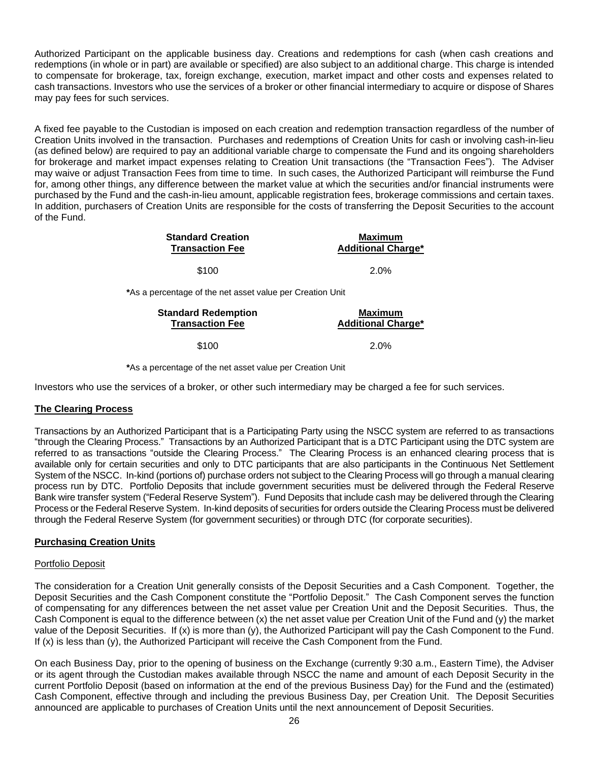Authorized Participant on the applicable business day. Creations and redemptions for cash (when cash creations and redemptions (in whole or in part) are available or specified) are also subject to an additional charge. This charge is intended to compensate for brokerage, tax, foreign exchange, execution, market impact and other costs and expenses related to cash transactions. Investors who use the services of a broker or other financial intermediary to acquire or dispose of Shares may pay fees for such services.

A fixed fee payable to the Custodian is imposed on each creation and redemption transaction regardless of the number of Creation Units involved in the transaction. Purchases and redemptions of Creation Units for cash or involving cash-in-lieu (as defined below) are required to pay an additional variable charge to compensate the Fund and its ongoing shareholders for brokerage and market impact expenses relating to Creation Unit transactions (the "Transaction Fees"). The Adviser may waive or adjust Transaction Fees from time to time. In such cases, the Authorized Participant will reimburse the Fund for, among other things, any difference between the market value at which the securities and/or financial instruments were purchased by the Fund and the cash-in-lieu amount, applicable registration fees, brokerage commissions and certain taxes. In addition, purchasers of Creation Units are responsible for the costs of transferring the Deposit Securities to the account of the Fund.

| <b>Standard Creation</b> | <b>Maximum</b>            |
|--------------------------|---------------------------|
| <b>Transaction Fee</b>   | <b>Additional Charge*</b> |
| \$100                    | $2.0\%$                   |

**\***As a percentage of the net asset value per Creation Unit

| <b>Standard Redemption</b> | Maximum                   |  |  |
|----------------------------|---------------------------|--|--|
| <b>Transaction Fee</b>     | <b>Additional Charge*</b> |  |  |
| \$100                      | $2.0\%$                   |  |  |

**\***As a percentage of the net asset value per Creation Unit

Investors who use the services of a broker, or other such intermediary may be charged a fee for such services.

#### **The Clearing Process**

Transactions by an Authorized Participant that is a Participating Party using the NSCC system are referred to as transactions "through the Clearing Process." Transactions by an Authorized Participant that is a DTC Participant using the DTC system are referred to as transactions "outside the Clearing Process." The Clearing Process is an enhanced clearing process that is available only for certain securities and only to DTC participants that are also participants in the Continuous Net Settlement System of the NSCC. In-kind (portions of) purchase orders not subject to the Clearing Process will go through a manual clearing process run by DTC. Portfolio Deposits that include government securities must be delivered through the Federal Reserve Bank wire transfer system ("Federal Reserve System"). Fund Deposits that include cash may be delivered through the Clearing Process or the Federal Reserve System. In-kind deposits of securities for orders outside the Clearing Process must be delivered through the Federal Reserve System (for government securities) or through DTC (for corporate securities).

#### **Purchasing Creation Units**

#### Portfolio Deposit

The consideration for a Creation Unit generally consists of the Deposit Securities and a Cash Component. Together, the Deposit Securities and the Cash Component constitute the "Portfolio Deposit." The Cash Component serves the function of compensating for any differences between the net asset value per Creation Unit and the Deposit Securities. Thus, the Cash Component is equal to the difference between (x) the net asset value per Creation Unit of the Fund and (y) the market value of the Deposit Securities. If (x) is more than (y), the Authorized Participant will pay the Cash Component to the Fund. If (x) is less than (y), the Authorized Participant will receive the Cash Component from the Fund.

On each Business Day, prior to the opening of business on the Exchange (currently 9:30 a.m., Eastern Time), the Adviser or its agent through the Custodian makes available through NSCC the name and amount of each Deposit Security in the current Portfolio Deposit (based on information at the end of the previous Business Day) for the Fund and the (estimated) Cash Component, effective through and including the previous Business Day, per Creation Unit. The Deposit Securities announced are applicable to purchases of Creation Units until the next announcement of Deposit Securities.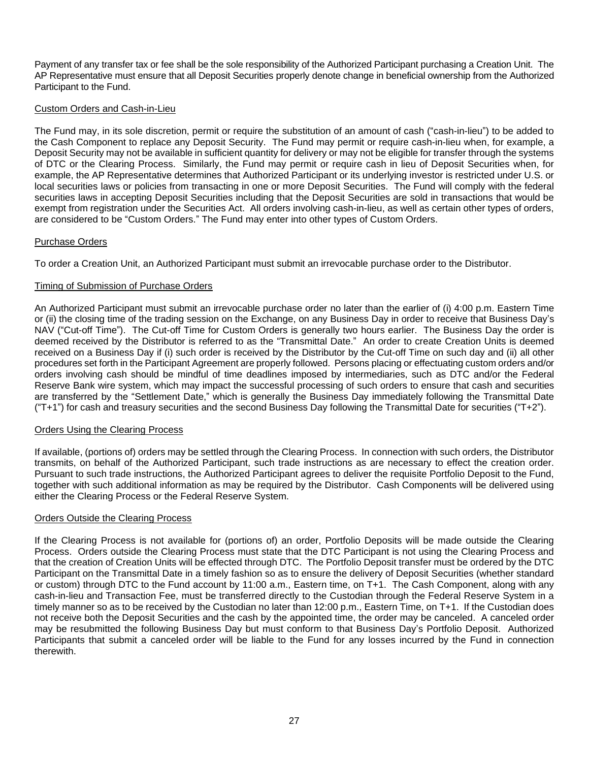Payment of any transfer tax or fee shall be the sole responsibility of the Authorized Participant purchasing a Creation Unit. The AP Representative must ensure that all Deposit Securities properly denote change in beneficial ownership from the Authorized Participant to the Fund.

## Custom Orders and Cash-in-Lieu

The Fund may, in its sole discretion, permit or require the substitution of an amount of cash ("cash-in-lieu") to be added to the Cash Component to replace any Deposit Security. The Fund may permit or require cash-in-lieu when, for example, a Deposit Security may not be available in sufficient quantity for delivery or may not be eligible for transfer through the systems of DTC or the Clearing Process. Similarly, the Fund may permit or require cash in lieu of Deposit Securities when, for example, the AP Representative determines that Authorized Participant or its underlying investor is restricted under U.S. or local securities laws or policies from transacting in one or more Deposit Securities. The Fund will comply with the federal securities laws in accepting Deposit Securities including that the Deposit Securities are sold in transactions that would be exempt from registration under the Securities Act. All orders involving cash-in-lieu, as well as certain other types of orders, are considered to be "Custom Orders." The Fund may enter into other types of Custom Orders.

## Purchase Orders

To order a Creation Unit, an Authorized Participant must submit an irrevocable purchase order to the Distributor.

## Timing of Submission of Purchase Orders

An Authorized Participant must submit an irrevocable purchase order no later than the earlier of (i) 4:00 p.m. Eastern Time or (ii) the closing time of the trading session on the Exchange, on any Business Day in order to receive that Business Day's NAV ("Cut-off Time"). The Cut-off Time for Custom Orders is generally two hours earlier. The Business Day the order is deemed received by the Distributor is referred to as the "Transmittal Date." An order to create Creation Units is deemed received on a Business Day if (i) such order is received by the Distributor by the Cut-off Time on such day and (ii) all other procedures set forth in the Participant Agreement are properly followed. Persons placing or effectuating custom orders and/or orders involving cash should be mindful of time deadlines imposed by intermediaries, such as DTC and/or the Federal Reserve Bank wire system, which may impact the successful processing of such orders to ensure that cash and securities are transferred by the "Settlement Date," which is generally the Business Day immediately following the Transmittal Date ("T+1") for cash and treasury securities and the second Business Day following the Transmittal Date for securities ("T+2").

## Orders Using the Clearing Process

If available, (portions of) orders may be settled through the Clearing Process. In connection with such orders, the Distributor transmits, on behalf of the Authorized Participant, such trade instructions as are necessary to effect the creation order. Pursuant to such trade instructions, the Authorized Participant agrees to deliver the requisite Portfolio Deposit to the Fund, together with such additional information as may be required by the Distributor. Cash Components will be delivered using either the Clearing Process or the Federal Reserve System.

## Orders Outside the Clearing Process

If the Clearing Process is not available for (portions of) an order, Portfolio Deposits will be made outside the Clearing Process. Orders outside the Clearing Process must state that the DTC Participant is not using the Clearing Process and that the creation of Creation Units will be effected through DTC. The Portfolio Deposit transfer must be ordered by the DTC Participant on the Transmittal Date in a timely fashion so as to ensure the delivery of Deposit Securities (whether standard or custom) through DTC to the Fund account by 11:00 a.m., Eastern time, on T+1. The Cash Component, along with any cash-in-lieu and Transaction Fee, must be transferred directly to the Custodian through the Federal Reserve System in a timely manner so as to be received by the Custodian no later than 12:00 p.m., Eastern Time, on T+1. If the Custodian does not receive both the Deposit Securities and the cash by the appointed time, the order may be canceled. A canceled order may be resubmitted the following Business Day but must conform to that Business Day's Portfolio Deposit. Authorized Participants that submit a canceled order will be liable to the Fund for any losses incurred by the Fund in connection therewith.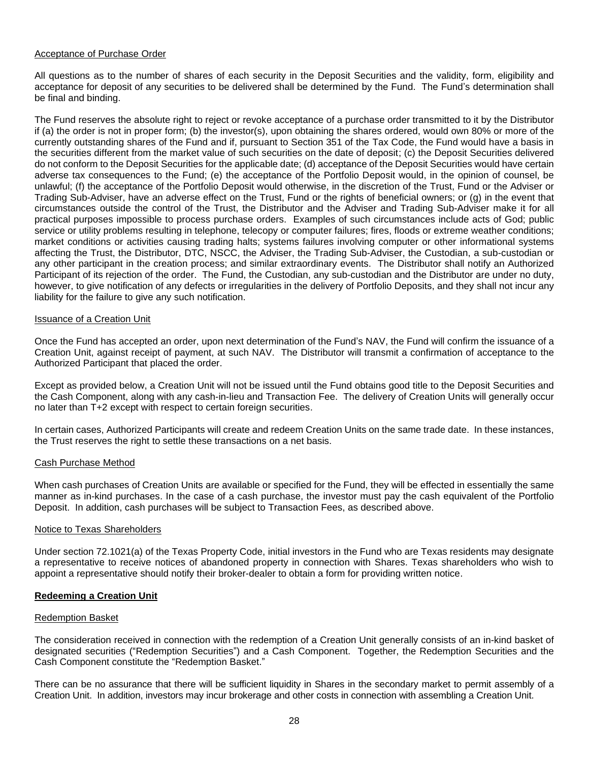#### Acceptance of Purchase Order

All questions as to the number of shares of each security in the Deposit Securities and the validity, form, eligibility and acceptance for deposit of any securities to be delivered shall be determined by the Fund. The Fund's determination shall be final and binding.

The Fund reserves the absolute right to reject or revoke acceptance of a purchase order transmitted to it by the Distributor if (a) the order is not in proper form; (b) the investor(s), upon obtaining the shares ordered, would own 80% or more of the currently outstanding shares of the Fund and if, pursuant to Section 351 of the Tax Code, the Fund would have a basis in the securities different from the market value of such securities on the date of deposit; (c) the Deposit Securities delivered do not conform to the Deposit Securities for the applicable date; (d) acceptance of the Deposit Securities would have certain adverse tax consequences to the Fund; (e) the acceptance of the Portfolio Deposit would, in the opinion of counsel, be unlawful; (f) the acceptance of the Portfolio Deposit would otherwise, in the discretion of the Trust, Fund or the Adviser or Trading Sub-Adviser, have an adverse effect on the Trust, Fund or the rights of beneficial owners; or (g) in the event that circumstances outside the control of the Trust, the Distributor and the Adviser and Trading Sub-Adviser make it for all practical purposes impossible to process purchase orders. Examples of such circumstances include acts of God; public service or utility problems resulting in telephone, telecopy or computer failures; fires, floods or extreme weather conditions; market conditions or activities causing trading halts; systems failures involving computer or other informational systems affecting the Trust, the Distributor, DTC, NSCC, the Adviser, the Trading Sub-Adviser, the Custodian, a sub-custodian or any other participant in the creation process; and similar extraordinary events. The Distributor shall notify an Authorized Participant of its rejection of the order. The Fund, the Custodian, any sub-custodian and the Distributor are under no duty, however, to give notification of any defects or irregularities in the delivery of Portfolio Deposits, and they shall not incur any liability for the failure to give any such notification.

#### Issuance of a Creation Unit

Once the Fund has accepted an order, upon next determination of the Fund's NAV, the Fund will confirm the issuance of a Creation Unit, against receipt of payment, at such NAV. The Distributor will transmit a confirmation of acceptance to the Authorized Participant that placed the order.

Except as provided below, a Creation Unit will not be issued until the Fund obtains good title to the Deposit Securities and the Cash Component, along with any cash-in-lieu and Transaction Fee. The delivery of Creation Units will generally occur no later than T+2 except with respect to certain foreign securities.

In certain cases, Authorized Participants will create and redeem Creation Units on the same trade date. In these instances, the Trust reserves the right to settle these transactions on a net basis.

#### Cash Purchase Method

When cash purchases of Creation Units are available or specified for the Fund, they will be effected in essentially the same manner as in-kind purchases. In the case of a cash purchase, the investor must pay the cash equivalent of the Portfolio Deposit. In addition, cash purchases will be subject to Transaction Fees, as described above.

#### Notice to Texas Shareholders

Under section 72.1021(a) of the Texas Property Code, initial investors in the Fund who are Texas residents may designate a representative to receive notices of abandoned property in connection with Shares. Texas shareholders who wish to appoint a representative should notify their broker-dealer to obtain a form for providing written notice.

### **Redeeming a Creation Unit**

#### Redemption Basket

The consideration received in connection with the redemption of a Creation Unit generally consists of an in-kind basket of designated securities ("Redemption Securities") and a Cash Component. Together, the Redemption Securities and the Cash Component constitute the "Redemption Basket."

There can be no assurance that there will be sufficient liquidity in Shares in the secondary market to permit assembly of a Creation Unit. In addition, investors may incur brokerage and other costs in connection with assembling a Creation Unit.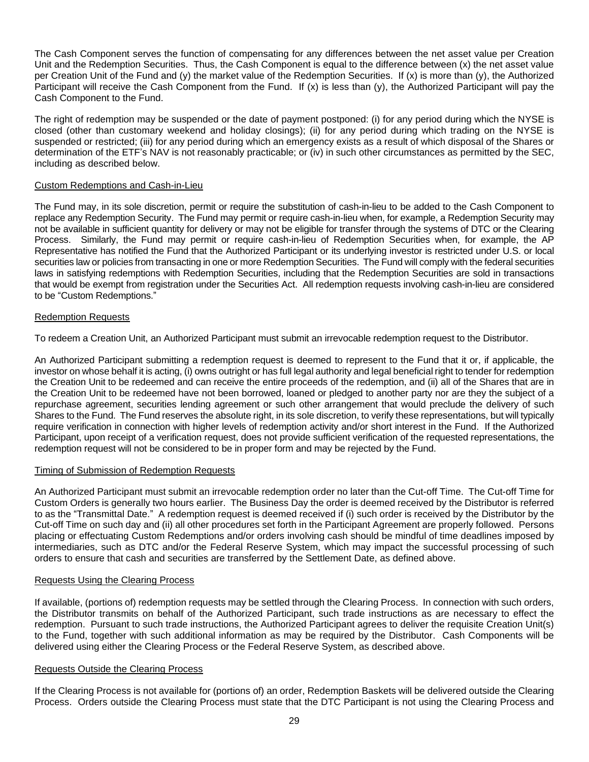The Cash Component serves the function of compensating for any differences between the net asset value per Creation Unit and the Redemption Securities. Thus, the Cash Component is equal to the difference between (x) the net asset value per Creation Unit of the Fund and (y) the market value of the Redemption Securities. If (x) is more than (y), the Authorized Participant will receive the Cash Component from the Fund. If (x) is less than (y), the Authorized Participant will pay the Cash Component to the Fund.

The right of redemption may be suspended or the date of payment postponed: (i) for any period during which the NYSE is closed (other than customary weekend and holiday closings); (ii) for any period during which trading on the NYSE is suspended or restricted; (iii) for any period during which an emergency exists as a result of which disposal of the Shares or determination of the ETF's NAV is not reasonably practicable; or (iv) in such other circumstances as permitted by the SEC, including as described below.

## Custom Redemptions and Cash-in-Lieu

The Fund may, in its sole discretion, permit or require the substitution of cash-in-lieu to be added to the Cash Component to replace any Redemption Security. The Fund may permit or require cash-in-lieu when, for example, a Redemption Security may not be available in sufficient quantity for delivery or may not be eligible for transfer through the systems of DTC or the Clearing Process. Similarly, the Fund may permit or require cash-in-lieu of Redemption Securities when, for example, the AP Representative has notified the Fund that the Authorized Participant or its underlying investor is restricted under U.S. or local securities law or policies from transacting in one or more Redemption Securities. The Fund will comply with the federal securities laws in satisfying redemptions with Redemption Securities, including that the Redemption Securities are sold in transactions that would be exempt from registration under the Securities Act. All redemption requests involving cash-in-lieu are considered to be "Custom Redemptions."

### Redemption Requests

To redeem a Creation Unit, an Authorized Participant must submit an irrevocable redemption request to the Distributor.

An Authorized Participant submitting a redemption request is deemed to represent to the Fund that it or, if applicable, the investor on whose behalf it is acting, (i) owns outright or has full legal authority and legal beneficial right to tender for redemption the Creation Unit to be redeemed and can receive the entire proceeds of the redemption, and (ii) all of the Shares that are in the Creation Unit to be redeemed have not been borrowed, loaned or pledged to another party nor are they the subject of a repurchase agreement, securities lending agreement or such other arrangement that would preclude the delivery of such Shares to the Fund. The Fund reserves the absolute right, in its sole discretion, to verify these representations, but will typically require verification in connection with higher levels of redemption activity and/or short interest in the Fund. If the Authorized Participant, upon receipt of a verification request, does not provide sufficient verification of the requested representations, the redemption request will not be considered to be in proper form and may be rejected by the Fund.

#### Timing of Submission of Redemption Requests

An Authorized Participant must submit an irrevocable redemption order no later than the Cut-off Time. The Cut-off Time for Custom Orders is generally two hours earlier. The Business Day the order is deemed received by the Distributor is referred to as the "Transmittal Date." A redemption request is deemed received if (i) such order is received by the Distributor by the Cut-off Time on such day and (ii) all other procedures set forth in the Participant Agreement are properly followed. Persons placing or effectuating Custom Redemptions and/or orders involving cash should be mindful of time deadlines imposed by intermediaries, such as DTC and/or the Federal Reserve System, which may impact the successful processing of such orders to ensure that cash and securities are transferred by the Settlement Date, as defined above.

#### Requests Using the Clearing Process

If available, (portions of) redemption requests may be settled through the Clearing Process. In connection with such orders, the Distributor transmits on behalf of the Authorized Participant, such trade instructions as are necessary to effect the redemption. Pursuant to such trade instructions, the Authorized Participant agrees to deliver the requisite Creation Unit(s) to the Fund, together with such additional information as may be required by the Distributor. Cash Components will be delivered using either the Clearing Process or the Federal Reserve System, as described above.

#### Requests Outside the Clearing Process

If the Clearing Process is not available for (portions of) an order, Redemption Baskets will be delivered outside the Clearing Process. Orders outside the Clearing Process must state that the DTC Participant is not using the Clearing Process and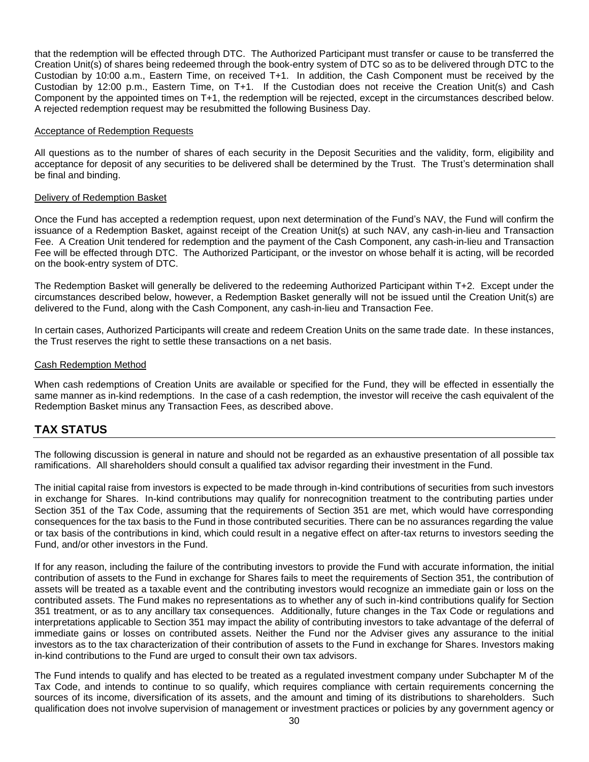that the redemption will be effected through DTC. The Authorized Participant must transfer or cause to be transferred the Creation Unit(s) of shares being redeemed through the book-entry system of DTC so as to be delivered through DTC to the Custodian by 10:00 a.m., Eastern Time, on received T+1. In addition, the Cash Component must be received by the Custodian by 12:00 p.m., Eastern Time, on T+1. If the Custodian does not receive the Creation Unit(s) and Cash Component by the appointed times on T+1, the redemption will be rejected, except in the circumstances described below. A rejected redemption request may be resubmitted the following Business Day.

#### Acceptance of Redemption Requests

All questions as to the number of shares of each security in the Deposit Securities and the validity, form, eligibility and acceptance for deposit of any securities to be delivered shall be determined by the Trust. The Trust's determination shall be final and binding.

#### Delivery of Redemption Basket

Once the Fund has accepted a redemption request, upon next determination of the Fund's NAV, the Fund will confirm the issuance of a Redemption Basket, against receipt of the Creation Unit(s) at such NAV, any cash-in-lieu and Transaction Fee. A Creation Unit tendered for redemption and the payment of the Cash Component, any cash-in-lieu and Transaction Fee will be effected through DTC. The Authorized Participant, or the investor on whose behalf it is acting, will be recorded on the book-entry system of DTC.

The Redemption Basket will generally be delivered to the redeeming Authorized Participant within T+2. Except under the circumstances described below, however, a Redemption Basket generally will not be issued until the Creation Unit(s) are delivered to the Fund, along with the Cash Component, any cash-in-lieu and Transaction Fee.

In certain cases, Authorized Participants will create and redeem Creation Units on the same trade date. In these instances, the Trust reserves the right to settle these transactions on a net basis.

#### Cash Redemption Method

When cash redemptions of Creation Units are available or specified for the Fund, they will be effected in essentially the same manner as in-kind redemptions. In the case of a cash redemption, the investor will receive the cash equivalent of the Redemption Basket minus any Transaction Fees, as described above.

## **TAX STATUS**

The following discussion is general in nature and should not be regarded as an exhaustive presentation of all possible tax ramifications. All shareholders should consult a qualified tax advisor regarding their investment in the Fund.

The initial capital raise from investors is expected to be made through in-kind contributions of securities from such investors in exchange for Shares. In-kind contributions may qualify for nonrecognition treatment to the contributing parties under Section 351 of the Tax Code, assuming that the requirements of Section 351 are met, which would have corresponding consequences for the tax basis to the Fund in those contributed securities. There can be no assurances regarding the value or tax basis of the contributions in kind, which could result in a negative effect on after-tax returns to investors seeding the Fund, and/or other investors in the Fund.

If for any reason, including the failure of the contributing investors to provide the Fund with accurate information, the initial contribution of assets to the Fund in exchange for Shares fails to meet the requirements of Section 351, the contribution of assets will be treated as a taxable event and the contributing investors would recognize an immediate gain or loss on the contributed assets. The Fund makes no representations as to whether any of such in-kind contributions qualify for Section 351 treatment, or as to any ancillary tax consequences. Additionally, future changes in the Tax Code or regulations and interpretations applicable to Section 351 may impact the ability of contributing investors to take advantage of the deferral of immediate gains or losses on contributed assets. Neither the Fund nor the Adviser gives any assurance to the initial investors as to the tax characterization of their contribution of assets to the Fund in exchange for Shares. Investors making in-kind contributions to the Fund are urged to consult their own tax advisors.

The Fund intends to qualify and has elected to be treated as a regulated investment company under Subchapter M of the Tax Code, and intends to continue to so qualify, which requires compliance with certain requirements concerning the sources of its income, diversification of its assets, and the amount and timing of its distributions to shareholders. Such qualification does not involve supervision of management or investment practices or policies by any government agency or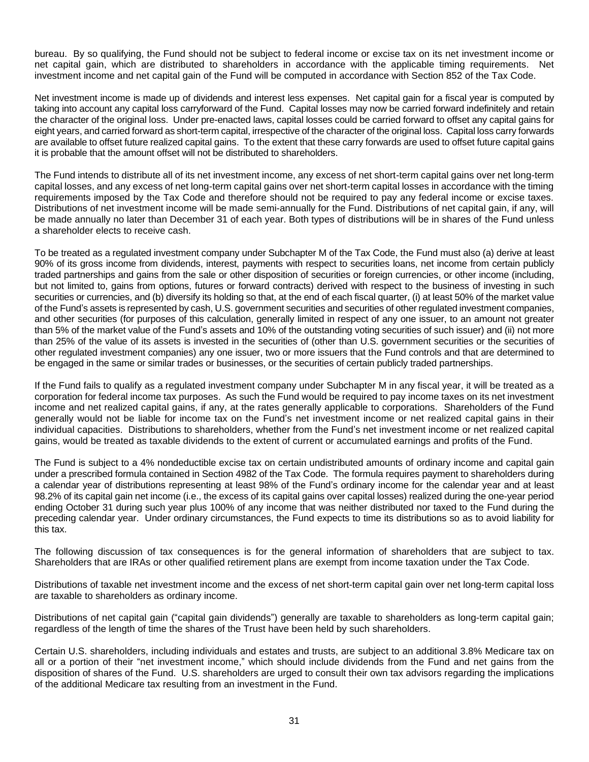bureau. By so qualifying, the Fund should not be subject to federal income or excise tax on its net investment income or net capital gain, which are distributed to shareholders in accordance with the applicable timing requirements. Net investment income and net capital gain of the Fund will be computed in accordance with Section 852 of the Tax Code.

Net investment income is made up of dividends and interest less expenses. Net capital gain for a fiscal year is computed by taking into account any capital loss carryforward of the Fund. Capital losses may now be carried forward indefinitely and retain the character of the original loss. Under pre-enacted laws, capital losses could be carried forward to offset any capital gains for eight years, and carried forward as short-term capital, irrespective of the character of the original loss. Capital loss carry forwards are available to offset future realized capital gains. To the extent that these carry forwards are used to offset future capital gains it is probable that the amount offset will not be distributed to shareholders.

The Fund intends to distribute all of its net investment income, any excess of net short-term capital gains over net long-term capital losses, and any excess of net long-term capital gains over net short-term capital losses in accordance with the timing requirements imposed by the Tax Code and therefore should not be required to pay any federal income or excise taxes. Distributions of net investment income will be made semi-annually for the Fund. Distributions of net capital gain, if any, will be made annually no later than December 31 of each year. Both types of distributions will be in shares of the Fund unless a shareholder elects to receive cash.

To be treated as a regulated investment company under Subchapter M of the Tax Code, the Fund must also (a) derive at least 90% of its gross income from dividends, interest, payments with respect to securities loans, net income from certain publicly traded partnerships and gains from the sale or other disposition of securities or foreign currencies, or other income (including, but not limited to, gains from options, futures or forward contracts) derived with respect to the business of investing in such securities or currencies, and (b) diversify its holding so that, at the end of each fiscal quarter, (i) at least 50% of the market value of the Fund's assets is represented by cash, U.S. government securities and securities of other regulated investment companies, and other securities (for purposes of this calculation, generally limited in respect of any one issuer, to an amount not greater than 5% of the market value of the Fund's assets and 10% of the outstanding voting securities of such issuer) and (ii) not more than 25% of the value of its assets is invested in the securities of (other than U.S. government securities or the securities of other regulated investment companies) any one issuer, two or more issuers that the Fund controls and that are determined to be engaged in the same or similar trades or businesses, or the securities of certain publicly traded partnerships.

If the Fund fails to qualify as a regulated investment company under Subchapter M in any fiscal year, it will be treated as a corporation for federal income tax purposes. As such the Fund would be required to pay income taxes on its net investment income and net realized capital gains, if any, at the rates generally applicable to corporations. Shareholders of the Fund generally would not be liable for income tax on the Fund's net investment income or net realized capital gains in their individual capacities. Distributions to shareholders, whether from the Fund's net investment income or net realized capital gains, would be treated as taxable dividends to the extent of current or accumulated earnings and profits of the Fund.

The Fund is subject to a 4% nondeductible excise tax on certain undistributed amounts of ordinary income and capital gain under a prescribed formula contained in Section 4982 of the Tax Code. The formula requires payment to shareholders during a calendar year of distributions representing at least 98% of the Fund's ordinary income for the calendar year and at least 98.2% of its capital gain net income (i.e., the excess of its capital gains over capital losses) realized during the one-year period ending October 31 during such year plus 100% of any income that was neither distributed nor taxed to the Fund during the preceding calendar year. Under ordinary circumstances, the Fund expects to time its distributions so as to avoid liability for this tax.

The following discussion of tax consequences is for the general information of shareholders that are subject to tax. Shareholders that are IRAs or other qualified retirement plans are exempt from income taxation under the Tax Code.

Distributions of taxable net investment income and the excess of net short-term capital gain over net long-term capital loss are taxable to shareholders as ordinary income.

Distributions of net capital gain ("capital gain dividends") generally are taxable to shareholders as long-term capital gain; regardless of the length of time the shares of the Trust have been held by such shareholders.

Certain U.S. shareholders, including individuals and estates and trusts, are subject to an additional 3.8% Medicare tax on all or a portion of their "net investment income," which should include dividends from the Fund and net gains from the disposition of shares of the Fund. U.S. shareholders are urged to consult their own tax advisors regarding the implications of the additional Medicare tax resulting from an investment in the Fund.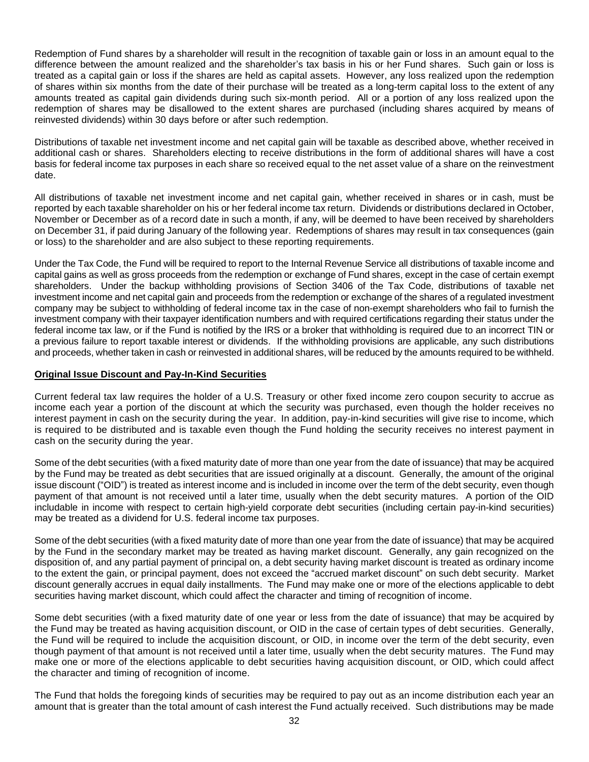Redemption of Fund shares by a shareholder will result in the recognition of taxable gain or loss in an amount equal to the difference between the amount realized and the shareholder's tax basis in his or her Fund shares. Such gain or loss is treated as a capital gain or loss if the shares are held as capital assets. However, any loss realized upon the redemption of shares within six months from the date of their purchase will be treated as a long-term capital loss to the extent of any amounts treated as capital gain dividends during such six-month period. All or a portion of any loss realized upon the redemption of shares may be disallowed to the extent shares are purchased (including shares acquired by means of reinvested dividends) within 30 days before or after such redemption.

Distributions of taxable net investment income and net capital gain will be taxable as described above, whether received in additional cash or shares. Shareholders electing to receive distributions in the form of additional shares will have a cost basis for federal income tax purposes in each share so received equal to the net asset value of a share on the reinvestment date.

All distributions of taxable net investment income and net capital gain, whether received in shares or in cash, must be reported by each taxable shareholder on his or her federal income tax return. Dividends or distributions declared in October, November or December as of a record date in such a month, if any, will be deemed to have been received by shareholders on December 31, if paid during January of the following year. Redemptions of shares may result in tax consequences (gain or loss) to the shareholder and are also subject to these reporting requirements.

Under the Tax Code, the Fund will be required to report to the Internal Revenue Service all distributions of taxable income and capital gains as well as gross proceeds from the redemption or exchange of Fund shares, except in the case of certain exempt shareholders. Under the backup withholding provisions of Section 3406 of the Tax Code, distributions of taxable net investment income and net capital gain and proceeds from the redemption or exchange of the shares of a regulated investment company may be subject to withholding of federal income tax in the case of non-exempt shareholders who fail to furnish the investment company with their taxpayer identification numbers and with required certifications regarding their status under the federal income tax law, or if the Fund is notified by the IRS or a broker that withholding is required due to an incorrect TIN or a previous failure to report taxable interest or dividends. If the withholding provisions are applicable, any such distributions and proceeds, whether taken in cash or reinvested in additional shares, will be reduced by the amounts required to be withheld.

### **Original Issue Discount and Pay-In-Kind Securities**

Current federal tax law requires the holder of a U.S. Treasury or other fixed income zero coupon security to accrue as income each year a portion of the discount at which the security was purchased, even though the holder receives no interest payment in cash on the security during the year. In addition, pay-in-kind securities will give rise to income, which is required to be distributed and is taxable even though the Fund holding the security receives no interest payment in cash on the security during the year.

Some of the debt securities (with a fixed maturity date of more than one year from the date of issuance) that may be acquired by the Fund may be treated as debt securities that are issued originally at a discount. Generally, the amount of the original issue discount ("OID") is treated as interest income and is included in income over the term of the debt security, even though payment of that amount is not received until a later time, usually when the debt security matures. A portion of the OID includable in income with respect to certain high-yield corporate debt securities (including certain pay-in-kind securities) may be treated as a dividend for U.S. federal income tax purposes.

Some of the debt securities (with a fixed maturity date of more than one year from the date of issuance) that may be acquired by the Fund in the secondary market may be treated as having market discount. Generally, any gain recognized on the disposition of, and any partial payment of principal on, a debt security having market discount is treated as ordinary income to the extent the gain, or principal payment, does not exceed the "accrued market discount" on such debt security. Market discount generally accrues in equal daily installments. The Fund may make one or more of the elections applicable to debt securities having market discount, which could affect the character and timing of recognition of income.

Some debt securities (with a fixed maturity date of one year or less from the date of issuance) that may be acquired by the Fund may be treated as having acquisition discount, or OID in the case of certain types of debt securities. Generally, the Fund will be required to include the acquisition discount, or OID, in income over the term of the debt security, even though payment of that amount is not received until a later time, usually when the debt security matures. The Fund may make one or more of the elections applicable to debt securities having acquisition discount, or OID, which could affect the character and timing of recognition of income.

The Fund that holds the foregoing kinds of securities may be required to pay out as an income distribution each year an amount that is greater than the total amount of cash interest the Fund actually received. Such distributions may be made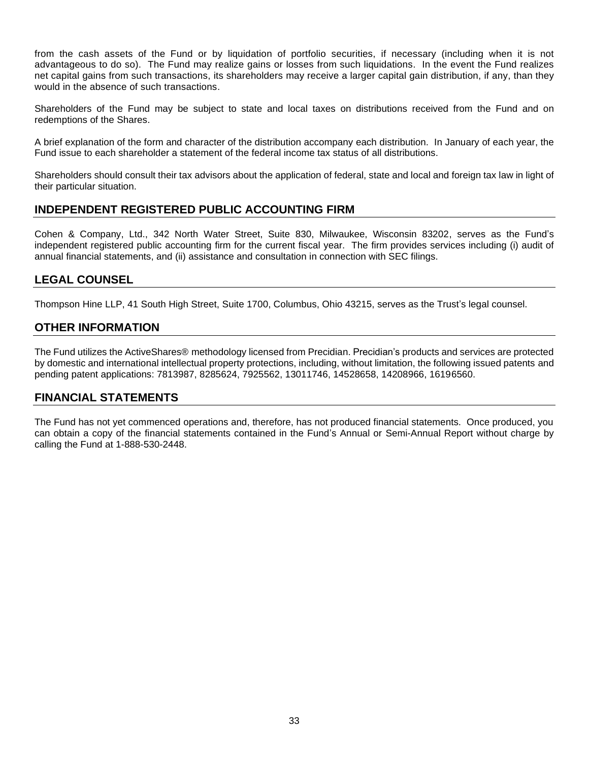from the cash assets of the Fund or by liquidation of portfolio securities, if necessary (including when it is not advantageous to do so). The Fund may realize gains or losses from such liquidations. In the event the Fund realizes net capital gains from such transactions, its shareholders may receive a larger capital gain distribution, if any, than they would in the absence of such transactions.

Shareholders of the Fund may be subject to state and local taxes on distributions received from the Fund and on redemptions of the Shares.

A brief explanation of the form and character of the distribution accompany each distribution. In January of each year, the Fund issue to each shareholder a statement of the federal income tax status of all distributions.

Shareholders should consult their tax advisors about the application of federal, state and local and foreign tax law in light of their particular situation.

## **INDEPENDENT REGISTERED PUBLIC ACCOUNTING FIRM**

Cohen & Company, Ltd., 342 North Water Street, Suite 830, Milwaukee, Wisconsin 83202, serves as the Fund's independent registered public accounting firm for the current fiscal year. The firm provides services including (i) audit of annual financial statements, and (ii) assistance and consultation in connection with SEC filings.

## **LEGAL COUNSEL**

Thompson Hine LLP, 41 South High Street, Suite 1700, Columbus, Ohio 43215, serves as the Trust's legal counsel.

## **OTHER INFORMATION**

The Fund utilizes the ActiveShares® methodology licensed from Precidian. Precidian's products and services are protected by domestic and international intellectual property protections, including, without limitation, the following issued patents and pending patent applications: 7813987, 8285624, 7925562, 13011746, 14528658, 14208966, 16196560.

## **FINANCIAL STATEMENTS**

The Fund has not yet commenced operations and, therefore, has not produced financial statements. Once produced, you can obtain a copy of the financial statements contained in the Fund's Annual or Semi-Annual Report without charge by calling the Fund at 1-888-530-2448.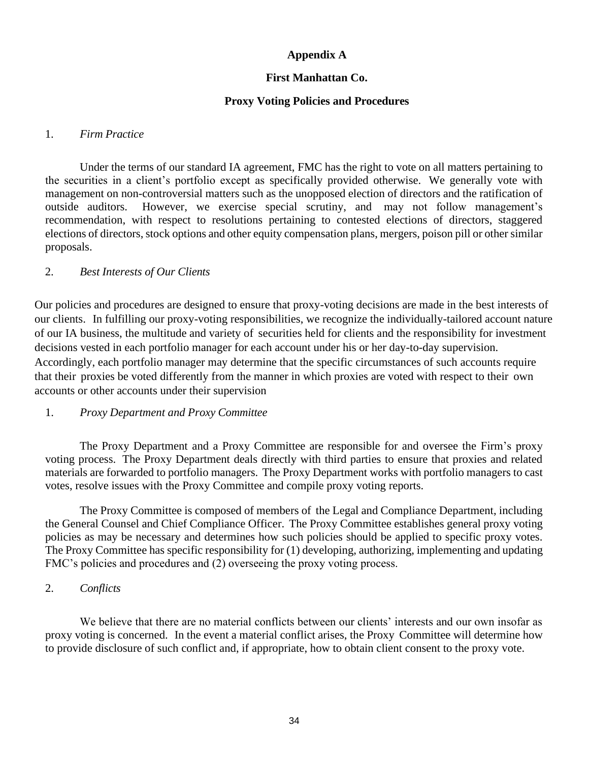## **Appendix A**

## **First Manhattan Co.**

## **Proxy Voting Policies and Procedures**

## 1. *Firm Practice*

Under the terms of our standard IA agreement, FMC has the right to vote on all matters pertaining to the securities in a client's portfolio except as specifically provided otherwise. We generally vote with management on non-controversial matters such as the unopposed election of directors and the ratification of outside auditors. However, we exercise special scrutiny, and may not follow management's recommendation, with respect to resolutions pertaining to contested elections of directors, staggered elections of directors, stock options and other equity compensation plans, mergers, poison pill or other similar proposals.

## 2. *Best Interests of Our Clients*

Our policies and procedures are designed to ensure that proxy-voting decisions are made in the best interests of our clients. In fulfilling our proxy-voting responsibilities, we recognize the individually-tailored account nature of our IA business, the multitude and variety of securities held for clients and the responsibility for investment decisions vested in each portfolio manager for each account under his or her day-to-day supervision. Accordingly, each portfolio manager may determine that the specific circumstances of such accounts require that their proxies be voted differently from the manner in which proxies are voted with respect to their own accounts or other accounts under their supervision

## 1. *Proxy Department and Proxy Committee*

The Proxy Department and a Proxy Committee are responsible for and oversee the Firm's proxy voting process. The Proxy Department deals directly with third parties to ensure that proxies and related materials are forwarded to portfolio managers. The Proxy Department works with portfolio managers to cast votes, resolve issues with the Proxy Committee and compile proxy voting reports.

The Proxy Committee is composed of members of the Legal and Compliance Department, including the General Counsel and Chief Compliance Officer. The Proxy Committee establishes general proxy voting policies as may be necessary and determines how such policies should be applied to specific proxy votes. The Proxy Committee has specific responsibility for (1) developing, authorizing, implementing and updating FMC's policies and procedures and (2) overseeing the proxy voting process.

## 2. *Conflicts*

We believe that there are no material conflicts between our clients' interests and our own insofar as proxy voting is concerned. In the event a material conflict arises, the Proxy Committee will determine how to provide disclosure of such conflict and, if appropriate, how to obtain client consent to the proxy vote.